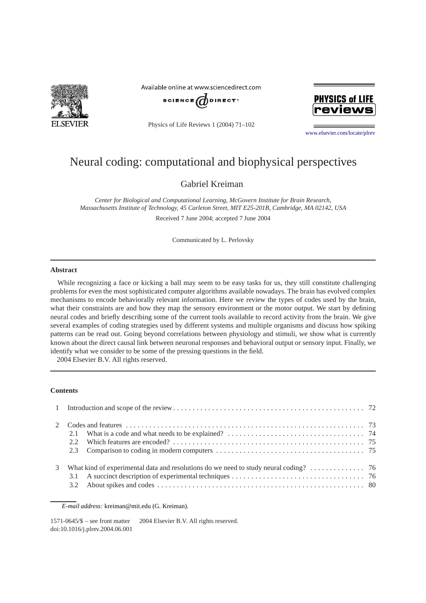

Available online at www.sciencedirect.com







[www.elsevier.com/locate/plrev](http://www.elsevier.com/locate/plrev)

# Neural coding: computational and biophysical perspectives

Gabriel Kreiman

*Center for Biological and Computational Learning, McGovern Institute for Brain Research, Massachusetts Institute of Technology, 45 Carleton Street, MIT E25-201B, Cambridge, MA 02142, USA* Received 7 June 2004; accepted 7 June 2004

Communicated by L. Perlovsky

#### **Abstract**

While recognizing a face or kicking a ball may seem to be easy tasks for us, they still constitute challenging problems for even the most sophisticated computer algorithms available nowadays. The brain has evolved complex mechanisms to encode behaviorally relevant information. Here we review the types of codes used by the brain, what their constraints are and how they map the sensory environment or the motor output. We start by defining neural codes and briefly describing some of the current tools available to record activity from the brain. We give several examples of coding strategies used by different systems and multiple organisms and discuss how spiking patterns can be read out. Going beyond correlations between physiology and stimuli, we show what is currently known about the direct causal link between neuronal responses and behavioral output or sensory input. Finally, we identify what we consider to be some of the pressing questions in the field.

2004 Elsevier B.V. All rights reserved.

## **Contents**

| 3 | What kind of experimental data and resolutions do we need to study neural coding? $\dots \dots \dots \dots$ . 76 |  |
|---|------------------------------------------------------------------------------------------------------------------|--|

*E-mail address:* kreiman@mit.edu (G. Kreiman).

<sup>1571-0645/\$ –</sup> see front matter © 2004 Elsevier B.V. All rights reserved. doi:10.1016/j.plrev.2004.06.001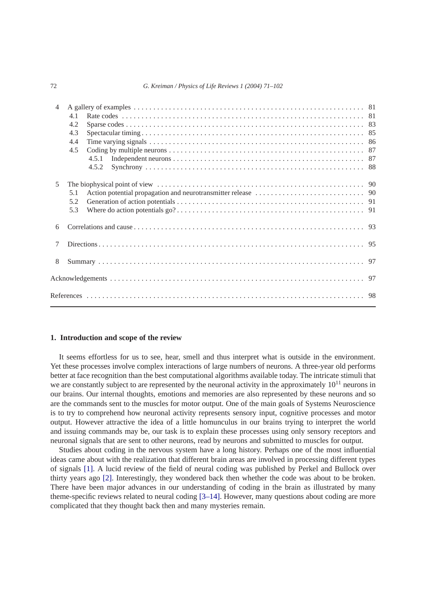| $\overline{4}$ |     |       |  |
|----------------|-----|-------|--|
|                | 4.1 |       |  |
|                | 4.2 |       |  |
|                | 4.3 |       |  |
|                | 4.4 |       |  |
|                | 4.5 |       |  |
|                |     | 4.5.1 |  |
|                |     | 4.5.2 |  |
| 5              |     |       |  |
|                |     |       |  |
|                | 5.1 |       |  |
|                | 5.2 |       |  |
|                | 5.3 |       |  |
| 6              |     |       |  |
| 7              |     |       |  |
| 8              |     |       |  |
|                |     |       |  |
|                |     |       |  |
|                |     |       |  |

## **1. Introduction and scope of the review**

It seems effortless for us to see, hear, smell and thus interpret what is outside in the environment. Yet these processes involve complex interactions of large numbers of neurons. A three-year old performs better at face recognition than the best computational algorithms available today. The intricate stimuli that we are constantly subject to are represented by the neuronal activity in the approximately  $10^{11}$  neurons in our brains. Our internal thoughts, emotions and memories are also represented by these neurons and so are the commands sent to the muscles for motor output. One of the main goals of Systems Neuroscience is to try to comprehend how neuronal activity represents sensory input, cognitive processes and motor output. However attractive the idea of a little homunculus in our brains trying to interpret the world and issuing commands may be, our task is to explain these processes using only sensory receptors and neuronal signals that are sent to other neurons, read by neurons and submitted to muscles for output.

Studies about coding in the nervous system have a long history. Perhaps one of the most influential ideas came about with the realization that different brain areas are involved in processing different types of signals [\[1\].](#page-27-0) A lucid review of the field of neural coding was published by Perkel and Bullock over thirty years ago [\[2\].](#page-27-0) Interestingly, they wondered back then whether the code was about to be broken. There have been major advances in our understanding of coding in the brain as illustrated by many theme-specific reviews related to neural coding [\[3–14\].](#page-27-0) However, many questions about coding are more complicated that they thought back then and many mysteries remain.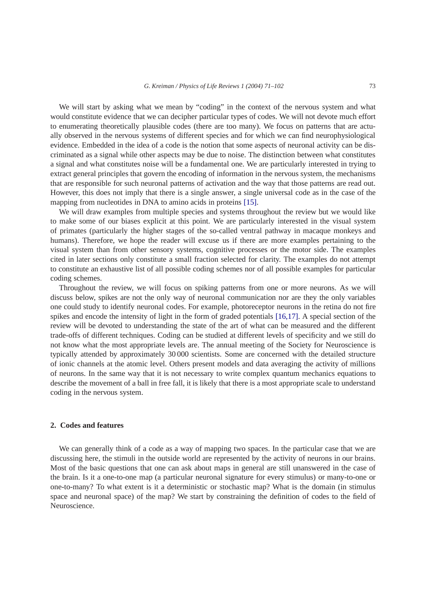We will start by asking what we mean by "coding" in the context of the nervous system and what would constitute evidence that we can decipher particular types of codes. We will not devote much effort to enumerating theoretically plausible codes (there are too many). We focus on patterns that are actually observed in the nervous systems of different species and for which we can find neurophysiological evidence. Embedded in the idea of a code is the notion that some aspects of neuronal activity can be discriminated as a signal while other aspects may be due to noise. The distinction between what constitutes a signal and what constitutes noise will be a fundamental one. We are particularly interested in trying to extract general principles that govern the encoding of information in the nervous system, the mechanisms that are responsible for such neuronal patterns of activation and the way that those patterns are read out. However, this does not imply that there is a single answer, a single universal code as in the case of the mapping from nucleotides in DNA to amino acids in proteins [\[15\].](#page-27-0)

We will draw examples from multiple species and systems throughout the review but we would like to make some of our biases explicit at this point. We are particularly interested in the visual system of primates (particularly the higher stages of the so-called ventral pathway in macaque monkeys and humans). Therefore, we hope the reader will excuse us if there are more examples pertaining to the visual system than from other sensory systems, cognitive processes or the motor side. The examples cited in later sections only constitute a small fraction selected for clarity. The examples do not attempt to constitute an exhaustive list of all possible coding schemes nor of all possible examples for particular coding schemes.

Throughout the review, we will focus on spiking patterns from one or more neurons. As we will discuss below, spikes are not the only way of neuronal communication nor are they the only variables one could study to identify neuronal codes. For example, photoreceptor neurons in the retina do not fire spikes and encode the intensity of light in the form of graded potentials [\[16,17\].](#page-27-0) A special section of the review will be devoted to understanding the state of the art of what can be measured and the different trade-offs of different techniques. Coding can be studied at different levels of specificity and we still do not know what the most appropriate levels are. The annual meeting of the Society for Neuroscience is typically attended by approximately 30 000 scientists. Some are concerned with the detailed structure of ionic channels at the atomic level. Others present models and data averaging the activity of millions of neurons. In the same way that it is not necessary to write complex quantum mechanics equations to describe the movement of a ball in free fall, it is likely that there is a most appropriate scale to understand coding in the nervous system.

# **2. Codes and features**

We can generally think of a code as a way of mapping two spaces. In the particular case that we are discussing here, the stimuli in the outside world are represented by the activity of neurons in our brains. Most of the basic questions that one can ask about maps in general are still unanswered in the case of the brain. Is it a one-to-one map (a particular neuronal signature for every stimulus) or many-to-one or one-to-many? To what extent is it a deterministic or stochastic map? What is the domain (in stimulus space and neuronal space) of the map? We start by constraining the definition of codes to the field of Neuroscience.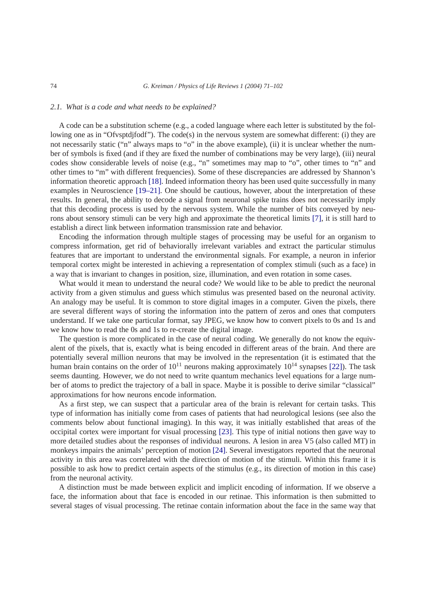## *2.1. What is a code and what needs to be explained?*

A code can be a substitution scheme (e.g., a coded language where each letter is substituted by the following one as in "Ofvsptdjfodf"). The code(s) in the nervous system are somewhat different: (i) they are not necessarily static ("n" always maps to "o" in the above example), (ii) it is unclear whether the number of symbols is fixed (and if they are fixed the number of combinations may be very large), (iii) neural codes show considerable levels of noise (e.g., "n" sometimes may map to "o", other times to "n" and other times to "m" with different frequencies). Some of these discrepancies are addressed by Shannon's information theoretic approach [\[18\].](#page-27-0) Indeed information theory has been used quite successfully in many examples in Neuroscience [\[19–21\].](#page-27-0) One should be cautious, however, about the interpretation of these results. In general, the ability to decode a signal from neuronal spike trains does not necessarily imply that this decoding process is used by the nervous system. While the number of bits conveyed by neurons about sensory stimuli can be very high and approximate the theoretical limits [\[7\],](#page-27-0) it is still hard to establish a direct link between information transmission rate and behavior.

Encoding the information through multiple stages of processing may be useful for an organism to compress information, get rid of behaviorally irrelevant variables and extract the particular stimulus features that are important to understand the environmental signals. For example, a neuron in inferior temporal cortex might be interested in achieving a representation of complex stimuli (such as a face) in a way that is invariant to changes in position, size, illumination, and even rotation in some cases.

What would it mean to understand the neural code? We would like to be able to predict the neuronal activity from a given stimulus and guess which stimulus was presented based on the neuronal activity. An analogy may be useful. It is common to store digital images in a computer. Given the pixels, there are several different ways of storing the information into the pattern of zeros and ones that computers understand. If we take one particular format, say JPEG, we know how to convert pixels to 0s and 1s and we know how to read the 0s and 1s to re-create the digital image.

The question is more complicated in the case of neural coding. We generally do not know the equivalent of the pixels, that is, exactly what is being encoded in different areas of the brain. And there are potentially several million neurons that may be involved in the representation (it is estimated that the human brain contains on the order of  $10^{11}$  neurons making approximately  $10^{14}$  synapses [\[22\]\)](#page-27-0). The task seems daunting. However, we do not need to write quantum mechanics level equations for a large number of atoms to predict the trajectory of a ball in space. Maybe it is possible to derive similar "classical" approximations for how neurons encode information.

As a first step, we can suspect that a particular area of the brain is relevant for certain tasks. This type of information has initially come from cases of patients that had neurological lesions (see also the comments below about functional imaging). In this way, it was initially established that areas of the occipital cortex were important for visual processing [\[23\].](#page-27-0) This type of initial notions then gave way to more detailed studies about the responses of individual neurons. A lesion in area V5 (also called MT) in monkeys impairs the animals' perception of motion [\[24\].](#page-27-0) Several investigators reported that the neuronal activity in this area was correlated with the direction of motion of the stimuli. Within this frame it is possible to ask how to predict certain aspects of the stimulus (e.g., its direction of motion in this case) from the neuronal activity.

A distinction must be made between explicit and implicit encoding of information. If we observe a face, the information about that face is encoded in our retinae. This information is then submitted to several stages of visual processing. The retinae contain information about the face in the same way that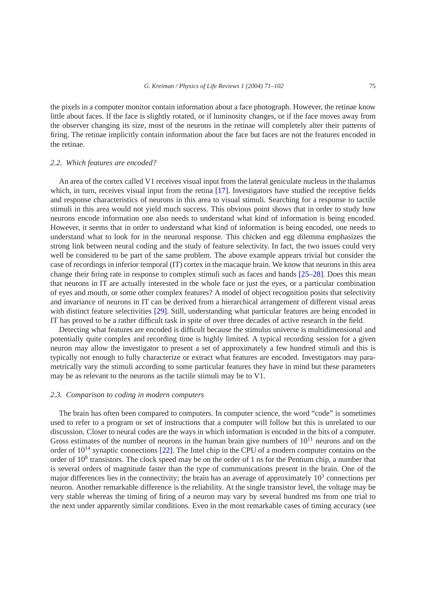the pixels in a computer monitor contain information about a face photograph. However, the retinae know little about faces. If the face is slightly rotated, or if luminosity changes, or if the face moves away from the observer changing its size, most of the neurons in the retinae will completely alter their patterns of firing. The retinae implicitly contain information about the face but faces are not the features encoded in the retinae.

# *2.2. Which features are encoded?*

An area of the cortex called V1 receives visual input from the lateral geniculate nucleus in the thalamus which, in turn, receives visual input from the retina [\[17\].](#page-27-0) Investigators have studied the receptive fields and response characteristics of neurons in this area to visual stimuli. Searching for a response to tactile stimuli in this area would not yield much success. This obvious point shows that in order to study how neurons encode information one also needs to understand what kind of information is being encoded. However, it seems that in order to understand what kind of information is being encoded, one needs to understand what to look for in the neuronal response. This chicken and egg dilemma emphasizes the strong link between neural coding and the study of feature selectivity. In fact, the two issues could very well be considered to be part of the same problem. The above example appears trivial but consider the case of recordings in inferior temporal (IT) cortex in the macaque brain. We know that neurons in this area change their firing rate in response to complex stimuli such as faces and hands [\[25–28\].](#page-27-0) Does this mean that neurons in IT are actually interested in the whole face or just the eyes, or a particular combination of eyes and mouth, or some other complex features? A model of object recognition posits that selectivity and invariance of neurons in IT can be derived from a hierarchical arrangement of different visual areas with distinct feature selectivities [\[29\].](#page-27-0) Still, understanding what particular features are being encoded in IT has proved to be a rather difficult task in spite of over three decades of active research in the field.

Detecting what features are encoded is difficult because the stimulus universe is multidimensional and potentially quite complex and recording time is highly limited. A typical recording session for a given neuron may allow the investigator to present a set of approximately a few hundred stimuli and this is typically not enough to fully characterize or extract what features are encoded. Investigators may parametrically vary the stimuli according to some particular features they have in mind but these parameters may be as relevant to the neurons as the tactile stimuli may be to V1.

#### *2.3. Comparison to coding in modern computers*

The brain has often been compared to computers. In computer science, the word "code" is sometimes used to refer to a program or set of instructions that a computer will follow but this is unrelated to our discussion. Closer to neural codes are the ways in which information is encoded in the bits of a computer. Gross estimates of the number of neurons in the human brain give numbers of  $10^{11}$  neurons and on the order of  $10^{14}$  synaptic connections [\[22\].](#page-27-0) The Intel chip in the CPU of a modern computer contains on the order of  $10^8$  transistors. The clock speed may be on the order of 1 ns for the Pentium chip, a number that is several orders of magnitude faster than the type of communications present in the brain. One of the major differences lies in the connectivity; the brain has an average of approximately  $10<sup>3</sup>$  connections per neuron. Another remarkable difference is the reliability. At the single transistor level, the voltage may be very stable whereas the timing of firing of a neuron may vary by several hundred ms from one trial to the next under apparently similar conditions. Even in the most remarkable cases of timing accuracy (see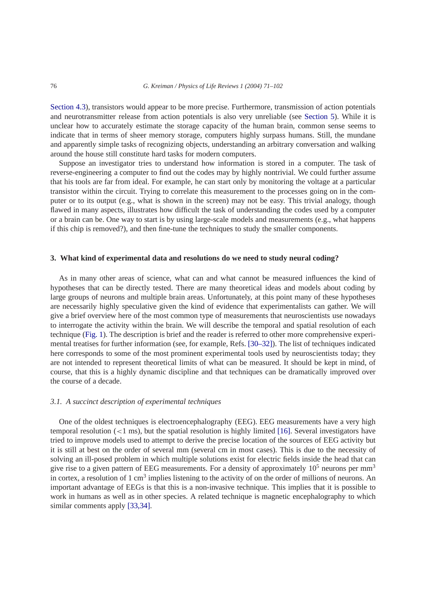<span id="page-5-0"></span>[Section 4.3\)](#page-14-0), transistors would appear to be more precise. Furthermore, transmission of action potentials and neurotransmitter release from action potentials is also very unreliable (see [Section 5\)](#page-19-0). While it is unclear how to accurately estimate the storage capacity of the human brain, common sense seems to indicate that in terms of sheer memory storage, computers highly surpass humans. Still, the mundane and apparently simple tasks of recognizing objects, understanding an arbitrary conversation and walking around the house still constitute hard tasks for modern computers.

Suppose an investigator tries to understand how information is stored in a computer. The task of reverse-engineering a computer to find out the codes may by highly nontrivial. We could further assume that his tools are far from ideal. For example, he can start only by monitoring the voltage at a particular transistor within the circuit. Trying to correlate this measurement to the processes going on in the computer or to its output (e.g., what is shown in the screen) may not be easy. This trivial analogy, though flawed in many aspects, illustrates how difficult the task of understanding the codes used by a computer or a brain can be. One way to start is by using large-scale models and measurements (e.g., what happens if this chip is removed?), and then fine-tune the techniques to study the smaller components.

# **3. What kind of experimental data and resolutions do we need to study neural coding?**

As in many other areas of science, what can and what cannot be measured influences the kind of hypotheses that can be directly tested. There are many theoretical ideas and models about coding by large groups of neurons and multiple brain areas. Unfortunately, at this point many of these hypotheses are necessarily highly speculative given the kind of evidence that experimentalists can gather. We will give a brief overview here of the most common type of measurements that neuroscientists use nowadays to interrogate the activity within the brain. We will describe the temporal and spatial resolution of each technique [\(Fig. 1\)](#page-6-0). The description is brief and the reader is referred to other more comprehensive experimental treatises for further information (see, for example, Refs. [\[30–32\]\)](#page-27-0). The list of techniques indicated here corresponds to some of the most prominent experimental tools used by neuroscientists today; they are not intended to represent theoretical limits of what can be measured. It should be kept in mind, of course, that this is a highly dynamic discipline and that techniques can be dramatically improved over the course of a decade.

# *3.1. A succinct description of experimental techniques*

One of the oldest techniques is electroencephalography (EEG). EEG measurements have a very high temporal resolution (*<*1 ms), but the spatial resolution is highly limited [\[16\].](#page-27-0) Several investigators have tried to improve models used to attempt to derive the precise location of the sources of EEG activity but it is still at best on the order of several mm (several cm in most cases). This is due to the necessity of solving an ill-posed problem in which multiple solutions exist for electric fields inside the head that can give rise to a given pattern of EEG measurements. For a density of approximately  $10^5$  neurons per mm<sup>3</sup> in cortex, a resolution of 1 cm<sup>3</sup> implies listening to the activity of on the order of millions of neurons. An important advantage of EEGs is that this is a non-invasive technique. This implies that it is possible to work in humans as well as in other species. A related technique is magnetic encephalography to which similar comments apply [\[33,34\].](#page-27-0)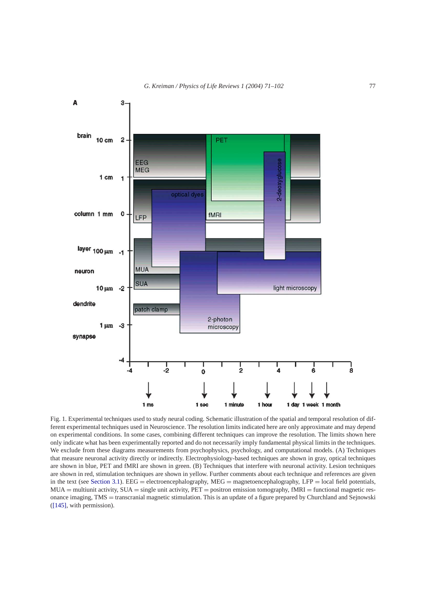<span id="page-6-0"></span>

Fig. 1. Experimental techniques used to study neural coding. Schematic illustration of the spatial and temporal resolution of different experimental techniques used in Neuroscience. The resolution limits indicated here are only approximate and may depend on experimental conditions. In some cases, combining different techniques can improve the resolution. The limits shown here only indicate what has been experimentally reported and do not necessarily imply fundamental physical limits in the techniques. We exclude from these diagrams measurements from psychophysics, psychology, and computational models. (A) Techniques that measure neuronal activity directly or indirectly. Electrophysiology-based techniques are shown in gray, optical techniques are shown in blue, PET and fMRI are shown in green. (B) Techniques that interfere with neuronal activity. Lesion techniques are shown in red, stimulation techniques are shown in yellow. Further comments about each technique and references are given in the text (see [Section 3.1\)](#page-5-0). EEG = electroencephalography, MEG = magnetoencephalography, LFP = local field potentials,  $MUA$  = multiunit activity,  $SUA$  = single unit activity,  $PET$  = positron emission tomography,  $fMRI$  = functional magnetic resonance imaging, TMS = transcranial magnetic stimulation. This is an update of a figure prepared by Churchland and Sejnowski [\(\[145\],](#page-31-0) with permission).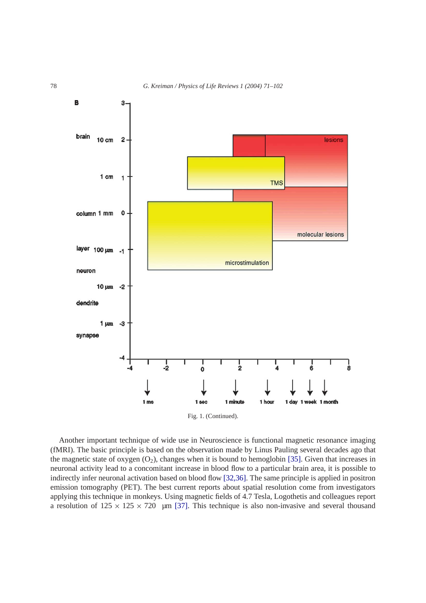

Another important technique of wide use in Neuroscience is functional magnetic resonance imaging (fMRI). The basic principle is based on the observation made by Linus Pauling several decades ago that the magnetic state of oxygen  $(O_2)$ , changes when it is bound to hemoglobin [\[35\].](#page-27-0) Given that increases in neuronal activity lead to a concomitant increase in blood flow to a particular brain area, it is possible to indirectly infer neuronal activation based on blood flow [\[32,36\].](#page-27-0) The same principle is applied in positron emission tomography (PET). The best current reports about spatial resolution come from investigators applying this technique in monkeys. Using magnetic fields of 4.7 Tesla, Logothetis and colleagues report a resolution of  $125 \times 125 \times 720$  µm [\[37\].](#page-27-0) This technique is also non-invasive and several thousand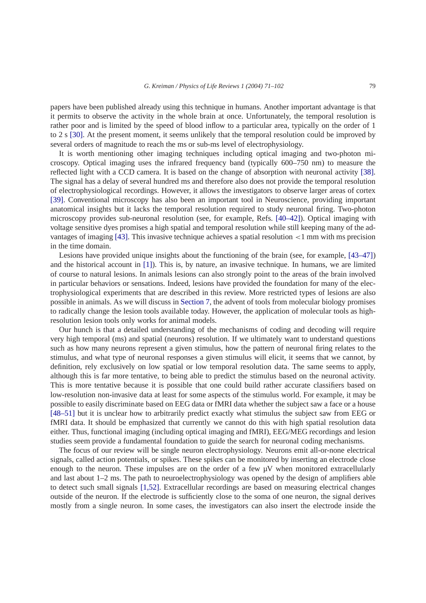papers have been published already using this technique in humans. Another important advantage is that it permits to observe the activity in the whole brain at once. Unfortunately, the temporal resolution is rather poor and is limited by the speed of blood inflow to a particular area, typically on the order of 1 to 2 s [\[30\].](#page-27-0) At the present moment, it seems unlikely that the temporal resolution could be improved by several orders of magnitude to reach the ms or sub-ms level of electrophysiology.

It is worth mentioning other imaging techniques including optical imaging and two-photon microscopy. Optical imaging uses the infrared frequency band (typically 600–750 nm) to measure the reflected light with a CCD camera. It is based on the change of absorption with neuronal activity [\[38\].](#page-28-0) The signal has a delay of several hundred ms and therefore also does not provide the temporal resolution of electrophysiological recordings. However, it allows the investigators to observe larger areas of cortex [\[39\].](#page-28-0) Conventional microscopy has also been an important tool in Neuroscience, providing important anatomical insights but it lacks the temporal resolution required to study neuronal firing. Two-photon microscopy provides sub-neuronal resolution (see, for example, Refs. [\[40–42\]\)](#page-28-0). Optical imaging with voltage sensitive dyes promises a high spatial and temporal resolution while still keeping many of the advantages of imaging [\[43\].](#page-28-0) This invasive technique achieves a spatial resolution *<*1 mm with ms precision in the time domain.

Lesions have provided unique insights about the functioning of the brain (see, for example, [\[43–47\]\)](#page-28-0) and the historical account in [\[1\]\)](#page-27-0). This is, by nature, an invasive technique. In humans, we are limited of course to natural lesions. In animals lesions can also strongly point to the areas of the brain involved in particular behaviors or sensations. Indeed, lesions have provided the foundation for many of the electrophysiological experiments that are described in this review. More restricted types of lesions are also possible in animals. As we will discuss in [Section 7,](#page-24-0) the advent of tools from molecular biology promises to radically change the lesion tools available today. However, the application of molecular tools as highresolution lesion tools only works for animal models.

Our hunch is that a detailed understanding of the mechanisms of coding and decoding will require very high temporal (ms) and spatial (neurons) resolution. If we ultimately want to understand questions such as how many neurons represent a given stimulus, how the pattern of neuronal firing relates to the stimulus, and what type of neuronal responses a given stimulus will elicit, it seems that we cannot, by definition, rely exclusively on low spatial or low temporal resolution data. The same seems to apply, although this is far more tentative, to being able to predict the stimulus based on the neuronal activity. This is more tentative because it is possible that one could build rather accurate classifiers based on low-resolution non-invasive data at least for some aspects of the stimulus world. For example, it may be possible to easily discriminate based on EEG data or fMRI data whether the subject saw a face or a house [\[48–51\]](#page-28-0) but it is unclear how to arbitrarily predict exactly what stimulus the subject saw from EEG or fMRI data. It should be emphasized that currently we cannot do this with high spatial resolution data either. Thus, functional imaging (including optical imaging and fMRI), EEG/MEG recordings and lesion studies seem provide a fundamental foundation to guide the search for neuronal coding mechanisms.

The focus of our review will be single neuron electrophysiology. Neurons emit all-or-none electrical signals, called action potentials, or spikes. These spikes can be monitored by inserting an electrode close enough to the neuron. These impulses are on the order of a few  $\mu$ V when monitored extracellularly and last about 1–2 ms. The path to neuroelectrophysiology was opened by the design of amplifiers able to detect such small signals [\[1,52\].](#page-27-0) Extracellular recordings are based on measuring electrical changes outside of the neuron. If the electrode is sufficiently close to the soma of one neuron, the signal derives mostly from a single neuron. In some cases, the investigators can also insert the electrode inside the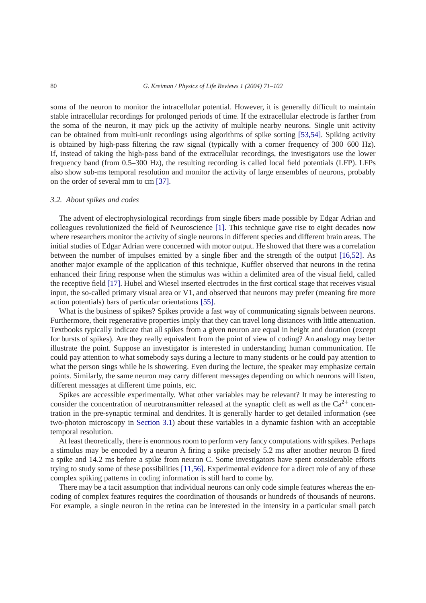<span id="page-9-0"></span>soma of the neuron to monitor the intracellular potential. However, it is generally difficult to maintain stable intracellular recordings for prolonged periods of time. If the extracellular electrode is farther from the soma of the neuron, it may pick up the activity of multiple nearby neurons. Single unit activity can be obtained from multi-unit recordings using algorithms of spike sorting [\[53,54\].](#page-28-0) Spiking activity is obtained by high-pass filtering the raw signal (typically with a corner frequency of 300–600 Hz). If, instead of taking the high-pass band of the extracellular recordings, the investigators use the lower frequency band (from 0.5–300 Hz), the resulting recording is called local field potentials (LFP). LFPs also show sub-ms temporal resolution and monitor the activity of large ensembles of neurons, probably on the order of several mm to cm [\[37\].](#page-27-0)

# *3.2. About spikes and codes*

The advent of electrophysiological recordings from single fibers made possible by Edgar Adrian and colleagues revolutionized the field of Neuroscience [\[1\].](#page-27-0) This technique gave rise to eight decades now where researchers monitor the activity of single neurons in different species and different brain areas. The initial studies of Edgar Adrian were concerned with motor output. He showed that there was a correlation between the number of impulses emitted by a single fiber and the strength of the output [\[16,52\].](#page-27-0) As another major example of the application of this technique, Kuffler observed that neurons in the retina enhanced their firing response when the stimulus was within a delimited area of the visual field, called the receptive field [\[17\].](#page-27-0) Hubel and Wiesel inserted electrodes in the first cortical stage that receives visual input, the so-called primary visual area or V1, and observed that neurons may prefer (meaning fire more action potentials) bars of particular orientations [\[55\].](#page-28-0)

What is the business of spikes? Spikes provide a fast way of communicating signals between neurons. Furthermore, their regenerative properties imply that they can travel long distances with little attenuation. Textbooks typically indicate that all spikes from a given neuron are equal in height and duration (except for bursts of spikes). Are they really equivalent from the point of view of coding? An analogy may better illustrate the point. Suppose an investigator is interested in understanding human communication. He could pay attention to what somebody says during a lecture to many students or he could pay attention to what the person sings while he is showering. Even during the lecture, the speaker may emphasize certain points. Similarly, the same neuron may carry different messages depending on which neurons will listen, different messages at different time points, etc.

Spikes are accessible experimentally. What other variables may be relevant? It may be interesting to consider the concentration of neurotransmitter released at the synaptic cleft as well as the  $Ca^{2+}$  concentration in the pre-synaptic terminal and dendrites. It is generally harder to get detailed information (see two-photon microscopy in [Section 3.1\)](#page-5-0) about these variables in a dynamic fashion with an acceptable temporal resolution.

At least theoretically, there is enormous room to perform very fancy computations with spikes. Perhaps a stimulus may be encoded by a neuron A firing a spike precisely 5.2 ms after another neuron B fired a spike and 14.2 ms before a spike from neuron C. Some investigators have spent considerable efforts trying to study some of these possibilities [\[11,56\].](#page-27-0) Experimental evidence for a direct role of any of these complex spiking patterns in coding information is still hard to come by.

There may be a tacit assumption that individual neurons can only code simple features whereas the encoding of complex features requires the coordination of thousands or hundreds of thousands of neurons. For example, a single neuron in the retina can be interested in the intensity in a particular small patch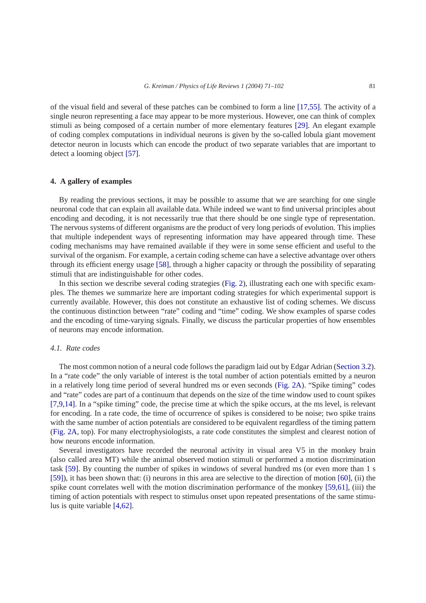<span id="page-10-0"></span>of the visual field and several of these patches can be combined to form a line [\[17,55\].](#page-27-0) The activity of a single neuron representing a face may appear to be more mysterious. However, one can think of complex stimuli as being composed of a certain number of more elementary features [\[29\].](#page-27-0) An elegant example of coding complex computations in individual neurons is given by the so-called lobula giant movement detector neuron in locusts which can encode the product of two separate variables that are important to detect a looming object [\[57\].](#page-28-0)

## **4. A gallery of examples**

By reading the previous sections, it may be possible to assume that we are searching for one single neuronal code that can explain all available data. While indeed we want to find universal principles about encoding and decoding, it is not necessarily true that there should be one single type of representation. The nervous systems of different organisms are the product of very long periods of evolution. This implies that multiple independent ways of representing information may have appeared through time. These coding mechanisms may have remained available if they were in some sense efficient and useful to the survival of the organism. For example, a certain coding scheme can have a selective advantage over others through its efficient energy usage [\[58\],](#page-28-0) through a higher capacity or through the possibility of separating stimuli that are indistinguishable for other codes.

In this section we describe several coding strategies [\(Fig. 2\)](#page-11-0), illustrating each one with specific examples. The themes we summarize here are important coding strategies for which experimental support is currently available. However, this does not constitute an exhaustive list of coding schemes. We discuss the continuous distinction between "rate" coding and "time" coding. We show examples of sparse codes and the encoding of time-varying signals. Finally, we discuss the particular properties of how ensembles of neurons may encode information.

# *4.1. Rate codes*

The most common notion of a neural code follows the paradigm laid out by Edgar Adrian [\(Section 3.2\)](#page-9-0). In a "rate code" the only variable of interest is the total number of action potentials emitted by a neuron in a relatively long time period of several hundred ms or even seconds [\(Fig. 2A\)](#page-11-0). "Spike timing" codes and "rate" codes are part of a continuum that depends on the size of the time window used to count spikes [\[7,9,14\].](#page-27-0) In a "spike timing" code, the precise time at which the spike occurs, at the ms level, is relevant for encoding. In a rate code, the time of occurrence of spikes is considered to be noise; two spike trains with the same number of action potentials are considered to be equivalent regardless of the timing pattern [\(Fig. 2A,](#page-11-0) top). For many electrophysiologists, a rate code constitutes the simplest and clearest notion of how neurons encode information.

Several investigators have recorded the neuronal activity in visual area V5 in the monkey brain (also called area MT) while the animal observed motion stimuli or performed a motion discrimination task [\[59\].](#page-28-0) By counting the number of spikes in windows of several hundred ms (or even more than 1 s [\[59\]\)](#page-28-0), it has been shown that: (i) neurons in this area are selective to the direction of motion [\[60\],](#page-28-0) (ii) the spike count correlates well with the motion discrimination performance of the monkey [\[59,61\],](#page-28-0) (iii) the timing of action potentials with respect to stimulus onset upon repeated presentations of the same stimulus is quite variable [\[4,62\].](#page-27-0)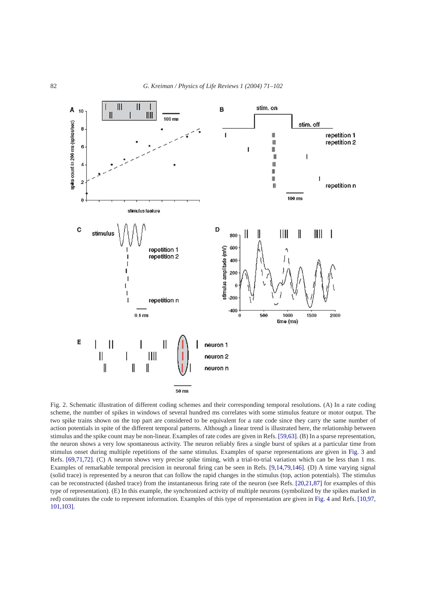<span id="page-11-0"></span>

Fig. 2. Schematic illustration of different coding schemes and their corresponding temporal resolutions. (A) In a rate coding scheme, the number of spikes in windows of several hundred ms correlates with some stimulus feature or motor output. The two spike trains shown on the top part are considered to be equivalent for a rate code since they carry the same number of action potentials in spite of the different temporal patterns. Although a linear trend is illustrated here, the relationship between stimulus and the spike count may be non-linear. Examples of rate codes are given in Refs. [\[59,63\].](#page-28-0) (B) In a sparse representation, the neuron shows a very low spontaneous activity. The neuron reliably fires a single burst of spikes at a particular time from stimulus onset during multiple repetitions of the same stimulus. Examples of sparse representations are given in [Fig. 3](#page-13-0) and Refs. [\[69,71,72\].](#page-29-0) (C) A neuron shows very precise spike timing, with a trial-to-trial variation which can be less than 1 ms. Examples of remarkable temporal precision in neuronal firing can be seen in Refs. [\[9,14,79,146\].](#page-27-0) (D) A time varying signal (solid trace) is represented by a neuron that can follow the rapid changes in the stimulus (top, action potentials). The stimulus can be reconstructed (dashed trace) from the instantaneous firing rate of the neuron (see Refs. [\[20,21,87\]](#page-27-0) for examples of this type of representation). (E) In this example, the synchronized activity of multiple neurons (symbolized by the spikes marked in red) constitutes the code to represent information. Examples of this type of representation are given in [Fig. 4](#page-18-0) and Refs. [\[10,97,](#page-27-0) [101,103\].](#page-27-0)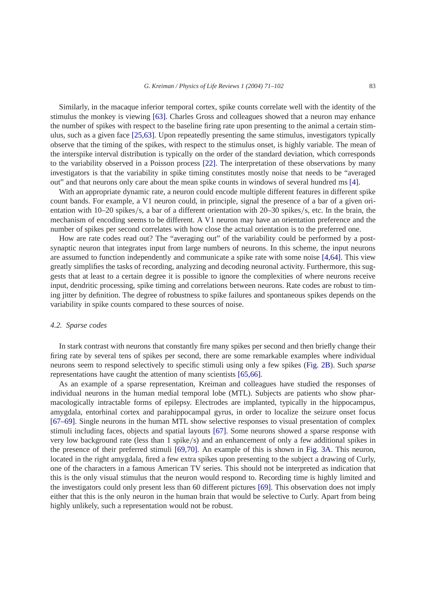Similarly, in the macaque inferior temporal cortex, spike counts correlate well with the identity of the stimulus the monkey is viewing [\[63\].](#page-28-0) Charles Gross and colleagues showed that a neuron may enhance the number of spikes with respect to the baseline firing rate upon presenting to the animal a certain stimulus, such as a given face [\[25,63\].](#page-27-0) Upon repeatedly presenting the same stimulus, investigators typically observe that the timing of the spikes, with respect to the stimulus onset, is highly variable. The mean of the interspike interval distribution is typically on the order of the standard deviation, which corresponds to the variability observed in a Poisson process [\[22\].](#page-27-0) The interpretation of these observations by many investigators is that the variability in spike timing constitutes mostly noise that needs to be "averaged out" and that neurons only care about the mean spike counts in windows of several hundred ms [\[4\].](#page-27-0)

With an appropriate dynamic rate, a neuron could encode multiple different features in different spike count bands. For example, a V1 neuron could, in principle, signal the presence of a bar of a given orientation with 10–20 spikes*/*s, a bar of a different orientation with 20–30 spikes*/*s, etc. In the brain, the mechanism of encoding seems to be different. A V1 neuron may have an orientation preference and the number of spikes per second correlates with how close the actual orientation is to the preferred one.

How are rate codes read out? The "averaging out" of the variability could be performed by a postsynaptic neuron that integrates input from large numbers of neurons. In this scheme, the input neurons are assumed to function independently and communicate a spike rate with some noise [\[4,64\].](#page-27-0) This view greatly simplifies the tasks of recording, analyzing and decoding neuronal activity. Furthermore, this suggests that at least to a certain degree it is possible to ignore the complexities of where neurons receive input, dendritic processing, spike timing and correlations between neurons. Rate codes are robust to timing jitter by definition. The degree of robustness to spike failures and spontaneous spikes depends on the variability in spike counts compared to these sources of noise.

#### *4.2. Sparse codes*

In stark contrast with neurons that constantly fire many spikes per second and then briefly change their firing rate by several tens of spikes per second, there are some remarkable examples where individual neurons seem to respond selectively to specific stimuli using only a few spikes [\(Fig. 2B\)](#page-11-0). Such *sparse* representations have caught the attention of many scientists [\[65,66\].](#page-28-0)

As an example of a sparse representation, Kreiman and colleagues have studied the responses of individual neurons in the human medial temporal lobe (MTL). Subjects are patients who show pharmacologically intractable forms of epilepsy. Electrodes are implanted, typically in the hippocampus, amygdala, entorhinal cortex and parahippocampal gyrus, in order to localize the seizure onset focus [\[67–69\].](#page-28-0) Single neurons in the human MTL show selective responses to visual presentation of complex stimuli including faces, objects and spatial layouts [\[67\].](#page-28-0) Some neurons showed a sparse response with very low background rate (less than 1 spike*/*s) and an enhancement of only a few additional spikes in the presence of their preferred stimuli [\[69,70\].](#page-29-0) An example of this is shown in [Fig. 3A.](#page-13-0) This neuron, located in the right amygdala, fired a few extra spikes upon presenting to the subject a drawing of Curly, one of the characters in a famous American TV series. This should not be interpreted as indication that this is the only visual stimulus that the neuron would respond to. Recording time is highly limited and the investigators could only present less than 60 different pictures [\[69\].](#page-29-0) This observation does not imply either that this is the only neuron in the human brain that would be selective to Curly. Apart from being highly unlikely, such a representation would not be robust.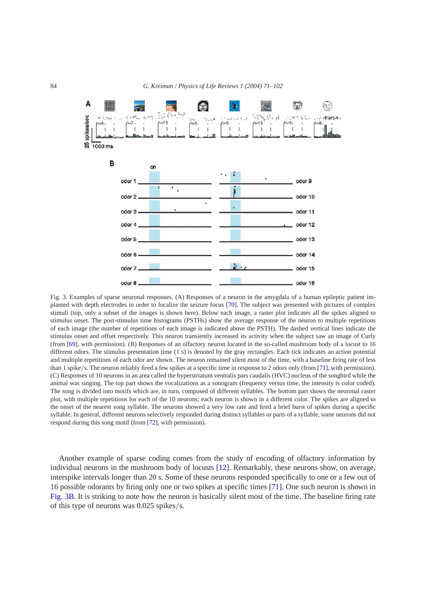<span id="page-13-0"></span>

Fig. 3. Examples of sparse neuronal responses. (A) Responses of a neuron in the amygdala of a human epileptic patient implanted with depth electrodes in order to localize the seizure focus [\[70\].](#page-29-0) The subject was presented with pictures of complex stimuli (top, only a subset of the images is shown here). Below each image, a raster plot indicates all the spikes aligned to stimulus onset. The post-stimulus time histograms (PSTHs) show the average response of the neuron to multiple repetitions of each image (the number of repetitions of each image is indicated above the PSTH). The dashed vertical lines indicate the stimulus onset and offset respectively. This neuron transiently increased its activity when the subject saw an image of Curly (from [\[69\],](#page-29-0) with permission). (B) Responses of an olfactory neuron located in the so-called mushroom body of a locust to 16 different odors. The stimulus presentation time (1 s) is denoted by the gray rectangles. Each tick indicates an action potential and multiple repetitions of each odor are shown. The neuron remained silent most of the time, with a baseline firing rate of less than 1 spike*/*s. The neuron reliably fired a few spikes at a specific time in response to 2 odors only (from [\[71\],](#page-29-0) with permission). (C) Responses of 10 neurons in an area called the hyperstriatum ventralis pars caudalis (HVC) nucleus of the songbird while the animal was singing. The top part shows the vocalizations as a sonogram (frequency versus time, the intensity is color coded). The song is divided into motifs which are, in turn, composed of different syllables. The bottom part shows the neuronal raster plot, with multiple repetitions for each of the 10 neurons; each neuron is shown in a different color. The spikes are aligned to the onset of the nearest song syllable. The neurons showed a very low rate and fired a brief burst of spikes during a specific syllable. In general, different neurons selectively responded during distinct syllables or parts of a syllable, some neurons did not respond during this song motif (from [\[72\],](#page-29-0) with permission).

Another example of sparse coding comes from the study of encoding of olfactory information by individual neurons in the mushroom body of locusts [\[12\].](#page-27-0) Remarkably, these neurons show, on average, interspike intervals longer than 20 s. Some of these neurons responded specifically to one or a few out of 16 possible odorants by firing only one or two spikes at specific times [\[71\].](#page-29-0) One such neuron is shown in Fig. 3B. It is striking to note how the neuron is basically silent most of the time. The baseline firing rate of this type of neurons was 0.025 spikes*/*s.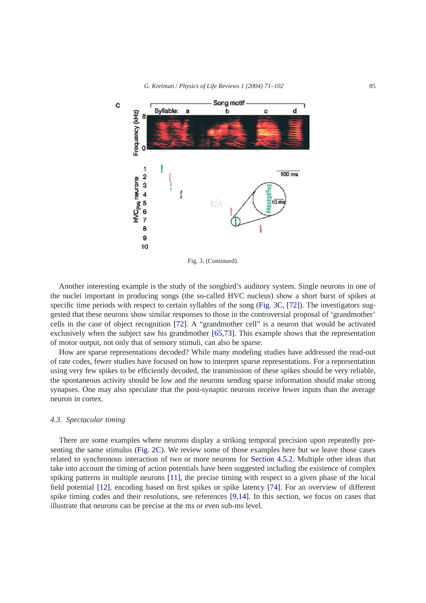<span id="page-14-0"></span>

Fig. 3. (Continued).

Another interesting example is the study of the songbird's auditory system. Single neurons in one of the nuclei important in producing songs (the so-called HVC nucleus) show a short burst of spikes at specific time periods with respect to certain syllables of the song [\(Fig. 3C,](#page-13-0) [\[72\]\)](#page-29-0). The investigators suggested that these neurons show similar responses to those in the controversial proposal of 'grandmother' cells in the case of object recognition [\[72\].](#page-29-0) A "grandmother cell" is a neuron that would be activated exclusively when the subject saw his grandmother [\[65,73\].](#page-28-0) This example shows that the representation of motor output, not only that of sensory stimuli, can also be sparse.

How are sparse representations decoded? While many modeling studies have addressed the read-out of rate codes, fewer studies have focused on how to interpret sparse representations. For a representation using very few spikes to be efficiently decoded, the transmission of these spikes should be very reliable, the spontaneous activity should be low and the neurons sending sparse information should make strong synapses. One may also speculate that the post-synaptic neurons receive fewer inputs than the average neuron in cortex.

#### *4.3. Spectacular timing*

There are some examples where neurons display a striking temporal precision upon repeatedly presenting the same stimulus [\(Fig. 2C\)](#page-11-0). We review some of those examples here but we leave those cases related to synchronous interaction of two or more neurons for [Section 4.5.2.](#page-17-0) Multiple other ideas that take into account the timing of action potentials have been suggested including the existence of complex spiking patterns in multiple neurons [\[11\],](#page-27-0) the precise timing with respect to a given phase of the local field potential [\[12\],](#page-27-0) encoding based on first spikes or spike latency [\[74\].](#page-29-0) For an overview of different spike timing codes and their resolutions, see references [\[9,14\].](#page-27-0) In this section, we focus on cases that illustrate that neurons can be precise at the ms or even sub-ms level.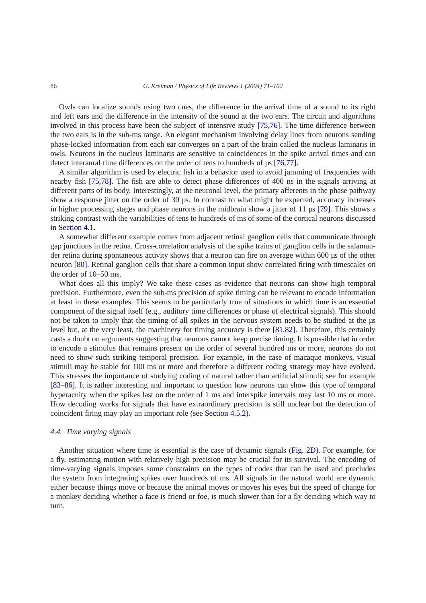Owls can localize sounds using two cues, the difference in the arrival time of a sound to its right and left ears and the difference in the intensity of the sound at the two ears. The circuit and algorithms involved in this process have been the subject of intensive study [\[75,76\].](#page-29-0) The time difference between the two ears is in the sub-ms range. An elegant mechanism involving delay lines from neurons sending phase-locked information from each ear converges on a part of the brain called the nucleus laminaris in owls. Neurons in the nucleus laminaris are sensitive to coincidences in the spike arrival times and can detect interaural time differences on the order of tens to hundreds of  $\mu$ s [\[76,77\].](#page-29-0)

A similar algorithm is used by electric fish in a behavior used to avoid jamming of frequencies with nearby fish [\[75,78\].](#page-29-0) The fish are able to detect phase differences of 400 ns in the signals arriving at different parts of its body. Interestingly, at the neuronal level, the primary afferents in the phase pathway show a response jitter on the order of 30 µs. In contrast to what might be expected, accuracy increases in higher processing stages and phase neurons in the midbrain show a jitter of 11 µs [\[79\].](#page-29-0) This shows a striking contrast with the variabilities of tens to hundreds of ms of some of the cortical neurons discussed in [Section 4.1.](#page-10-0)

A somewhat different example comes from adjacent retinal ganglion cells that communicate through gap junctions in the retina. Cross-correlation analysis of the spike trains of ganglion cells in the salamander retina during spontaneous activity shows that a neuron can fire on average within 600 µs of the other neuron [\[80\].](#page-29-0) Retinal ganglion cells that share a common input show correlated firing with timescales on the order of 10–50 ms.

What does all this imply? We take these cases as evidence that neurons can show high temporal precision. Furthermore, even the sub-ms precision of spike timing can be relevant to encode information at least in these examples. This seems to be particularly true of situations in which time is an essential component of the signal itself (e.g., auditory time differences or phase of electrical signals). This should not be taken to imply that the timing of all spikes in the nervous system needs to be studied at the µs level but, at the very least, the machinery for timing accuracy is there [\[81,82\].](#page-29-0) Therefore, this certainly casts a doubt on arguments suggesting that neurons cannot keep precise timing. It is possible that in order to encode a stimulus that remains present on the order of several hundred ms or more, neurons do not need to show such striking temporal precision. For example, in the case of macaque monkeys, visual stimuli may be stable for 100 ms or more and therefore a different coding strategy may have evolved. This stresses the importance of studying coding of natural rather than artificial stimuli; see for example [\[83–86\].](#page-29-0) It is rather interesting and important to question how neurons can show this type of temporal hyperacuity when the spikes last on the order of 1 ms and interspike intervals may last 10 ms or more. How decoding works for signals that have extraordinary precision is still unclear but the detection of coincident firing may play an important role (see [Section 4.5.2\)](#page-17-0).

# *4.4. Time varying signals*

Another situation where time is essential is the case of dynamic signals [\(Fig. 2D\)](#page-11-0). For example, for a fly, estimating motion with relatively high precision may be crucial for its survival. The encoding of time-varying signals imposes some constraints on the types of codes that can be used and precludes the system from integrating spikes over hundreds of ms. All signals in the natural world are dynamic either because things move or because the animal moves or moves his eyes but the speed of change for a monkey deciding whether a face is friend or foe, is much slower than for a fly deciding which way to turn.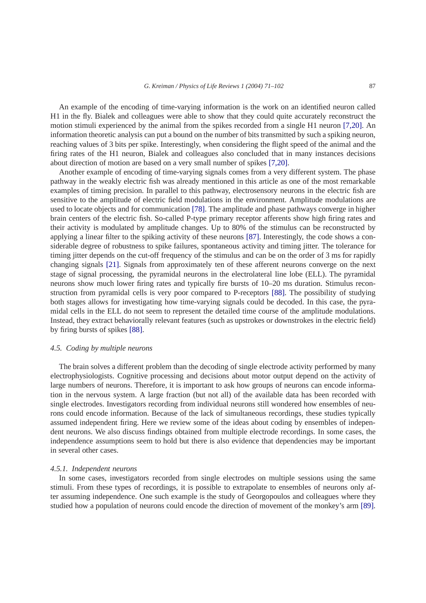An example of the encoding of time-varying information is the work on an identified neuron called H1 in the fly. Bialek and colleagues were able to show that they could quite accurately reconstruct the motion stimuli experienced by the animal from the spikes recorded from a single H1 neuron [\[7,20\].](#page-27-0) An information theoretic analysis can put a bound on the number of bits transmitted by such a spiking neuron, reaching values of 3 bits per spike. Interestingly, when considering the flight speed of the animal and the firing rates of the H1 neuron, Bialek and colleagues also concluded that in many instances decisions about direction of motion are based on a very small number of spikes [\[7,20\].](#page-27-0)

Another example of encoding of time-varying signals comes from a very different system. The phase pathway in the weakly electric fish was already mentioned in this article as one of the most remarkable examples of timing precision. In parallel to this pathway, electrosensory neurons in the electric fish are sensitive to the amplitude of electric field modulations in the environment. Amplitude modulations are used to locate objects and for communication [\[78\].](#page-29-0) The amplitude and phase pathways converge in higher brain centers of the electric fish. So-called P-type primary receptor afferents show high firing rates and their activity is modulated by amplitude changes. Up to 80% of the stimulus can be reconstructed by applying a linear filter to the spiking activity of these neurons [\[87\].](#page-29-0) Interestingly, the code shows a considerable degree of robustness to spike failures, spontaneous activity and timing jitter. The tolerance for timing jitter depends on the cut-off frequency of the stimulus and can be on the order of 3 ms for rapidly changing signals [\[21\].](#page-27-0) Signals from approximately ten of these afferent neurons converge on the next stage of signal processing, the pyramidal neurons in the electrolateral line lobe (ELL). The pyramidal neurons show much lower firing rates and typically fire bursts of 10–20 ms duration. Stimulus reconstruction from pyramidal cells is very poor compared to P-receptors [\[88\].](#page-29-0) The possibility of studying both stages allows for investigating how time-varying signals could be decoded. In this case, the pyramidal cells in the ELL do not seem to represent the detailed time course of the amplitude modulations. Instead, they extract behaviorally relevant features (such as upstrokes or downstrokes in the electric field) by firing bursts of spikes [\[88\].](#page-29-0)

#### *4.5. Coding by multiple neurons*

The brain solves a different problem than the decoding of single electrode activity performed by many electrophysiologists. Cognitive processing and decisions about motor output depend on the activity of large numbers of neurons. Therefore, it is important to ask how groups of neurons can encode information in the nervous system. A large fraction (but not all) of the available data has been recorded with single electrodes. Investigators recording from individual neurons still wondered how ensembles of neurons could encode information. Because of the lack of simultaneous recordings, these studies typically assumed independent firing. Here we review some of the ideas about coding by ensembles of independent neurons. We also discuss findings obtained from multiple electrode recordings. In some cases, the independence assumptions seem to hold but there is also evidence that dependencies may be important in several other cases.

#### *4.5.1. Independent neurons*

In some cases, investigators recorded from single electrodes on multiple sessions using the same stimuli. From these types of recordings, it is possible to extrapolate to ensembles of neurons only after assuming independence. One such example is the study of Georgopoulos and colleagues where they studied how a population of neurons could encode the direction of movement of the monkey's arm [\[89\].](#page-29-0)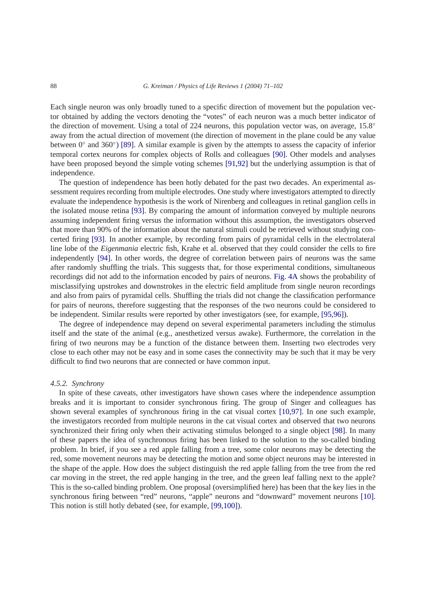<span id="page-17-0"></span>Each single neuron was only broadly tuned to a specific direction of movement but the population vector obtained by adding the vectors denoting the "votes" of each neuron was a much better indicator of the direction of movement. Using a total of 224 neurons, this population vector was, on average,  $15.8°$ away from the actual direction of movement (the direction of movement in the plane could be any value between 0◦ and 360◦) [\[89\].](#page-29-0) A similar example is given by the attempts to assess the capacity of inferior temporal cortex neurons for complex objects of Rolls and colleagues [\[90\].](#page-29-0) Other models and analyses have been proposed beyond the simple voting schemes [\[91,92\]](#page-29-0) but the underlying assumption is that of independence.

The question of independence has been hotly debated for the past two decades. An experimental assessment requires recording from multiple electrodes. One study where investigators attempted to directly evaluate the independence hypothesis is the work of Nirenberg and colleagues in retinal ganglion cells in the isolated mouse retina [\[93\].](#page-29-0) By comparing the amount of information conveyed by multiple neurons assuming independent firing versus the information without this assumption, the investigators observed that more than 90% of the information about the natural stimuli could be retrieved without studying concerted firing [\[93\].](#page-29-0) In another example, by recording from pairs of pyramidal cells in the electrolateral line lobe of the *Eigenmania* electric fish, Krahe et al. observed that they could consider the cells to fire independently [\[94\].](#page-29-0) In other words, the degree of correlation between pairs of neurons was the same after randomly shuffling the trials. This suggests that, for those experimental conditions, simultaneous recordings did not add to the information encoded by pairs of neurons. [Fig. 4A](#page-18-0) shows the probability of misclassifying upstrokes and downstrokes in the electric field amplitude from single neuron recordings and also from pairs of pyramidal cells. Shuffling the trials did not change the classification performance for pairs of neurons, therefore suggesting that the responses of the two neurons could be considered to be independent. Similar results were reported by other investigators (see, for example, [\[95,96\]\)](#page-29-0).

The degree of independence may depend on several experimental parameters including the stimulus itself and the state of the animal (e.g., anesthetized versus awake). Furthermore, the correlation in the firing of two neurons may be a function of the distance between them. Inserting two electrodes very close to each other may not be easy and in some cases the connectivity may be such that it may be very difficult to find two neurons that are connected or have common input.

## *4.5.2. Synchrony*

In spite of these caveats, other investigators have shown cases where the independence assumption breaks and it is important to consider synchronous firing. The group of Singer and colleagues has shown several examples of synchronous firing in the cat visual cortex [\[10,97\].](#page-27-0) In one such example, the investigators recorded from multiple neurons in the cat visual cortex and observed that two neurons synchronized their firing only when their activating stimulus belonged to a single object [\[98\].](#page-30-0) In many of these papers the idea of synchronous firing has been linked to the solution to the so-called binding problem. In brief, if you see a red apple falling from a tree, some color neurons may be detecting the red, some movement neurons may be detecting the motion and some object neurons may be interested in the shape of the apple. How does the subject distinguish the red apple falling from the tree from the red car moving in the street, the red apple hanging in the tree, and the green leaf falling next to the apple? This is the so-called binding problem. One proposal (oversimplified here) has been that the key lies in the synchronous firing between "red" neurons, "apple" neurons and "downward" movement neurons [\[10\].](#page-27-0) This notion is still hotly debated (see, for example, [\[99,100\]\)](#page-30-0).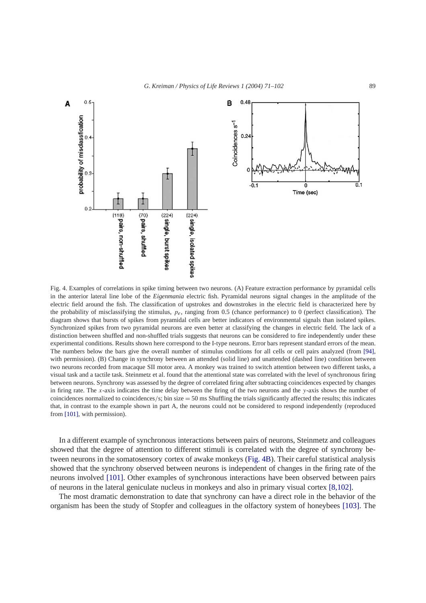$0.48$ 

 $-0.1$ 

в

Coincidences s<sup>-1</sup>  $0.24$ 



0 Time (sec)

<span id="page-18-0"></span>

Fig. 4. Examples of correlations in spike timing between two neurons. (A) Feature extraction performance by pyramidal cells in the anterior lateral line lobe of the *Eigenmania* electric fish. Pyramidal neurons signal changes in the amplitude of the electric field around the fish. The classification of upstrokes and downstrokes in the electric field is characterized here by the probability of misclassifying the stimulus, *pe*, ranging from 0.5 (chance performance) to 0 (perfect classification). The diagram shows that bursts of spikes from pyramidal cells are better indicators of environmental signals than isolated spikes. Synchronized spikes from two pyramidal neurons are even better at classifying the changes in electric field. The lack of a distinction between shuffled and non-shuffled trials suggests that neurons can be considered to fire independently under these experimental conditions. Results shown here correspond to the I-type neurons. Error bars represent standard errors of the mean. The numbers below the bars give the overall number of stimulus conditions for all cells or cell pairs analyzed (from [\[94\],](#page-29-0) with permission). (B) Change in synchrony between an attended (solid line) and unattended (dashed line) condition between two neurons recorded from macaque SII motor area. A monkey was trained to switch attention between two different tasks, a visual task and a tactile task. Steinmetz et al. found that the attentional state was correlated with the level of synchronous firing between neurons. Synchrony was assessed by the degree of correlated firing after subtracting coincidences expected by changes in firing rate. The *x*-axis indicates the time delay between the firing of the two neurons and the *y*-axis shows the number of coincidences normalized to coincidences*/*s; bin size = 50 ms Shuffling the trials significantly affected the results; this indicates that, in contrast to the example shown in part A, the neurons could not be considered to respond independently (reproduced from [\[101\],](#page-30-0) with permission).

In a different example of synchronous interactions between pairs of neurons, Steinmetz and colleagues showed that the degree of attention to different stimuli is correlated with the degree of synchrony between neurons in the somatosensory cortex of awake monkeys (Fig. 4B). Their careful statistical analysis showed that the synchrony observed between neurons is independent of changes in the firing rate of the neurons involved [\[101\].](#page-30-0) Other examples of synchronous interactions have been observed between pairs of neurons in the lateral geniculate nucleus in monkeys and also in primary visual cortex [\[8,102\].](#page-27-0)

The most dramatic demonstration to date that synchrony can have a direct role in the behavior of the organism has been the study of Stopfer and colleagues in the olfactory system of honeybees [\[103\].](#page-30-0) The

 $\overline{0.1}$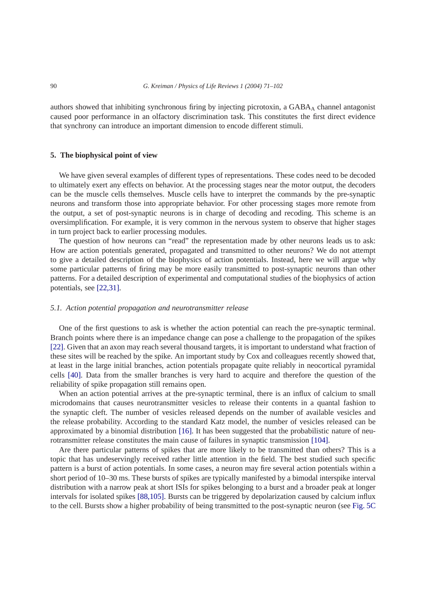<span id="page-19-0"></span>authors showed that inhibiting synchronous firing by injecting picrotoxin, a GABA<sub>A</sub> channel antagonist caused poor performance in an olfactory discrimination task. This constitutes the first direct evidence that synchrony can introduce an important dimension to encode different stimuli.

# **5. The biophysical point of view**

We have given several examples of different types of representations. These codes need to be decoded to ultimately exert any effects on behavior. At the processing stages near the motor output, the decoders can be the muscle cells themselves. Muscle cells have to interpret the commands by the pre-synaptic neurons and transform those into appropriate behavior. For other processing stages more remote from the output, a set of post-synaptic neurons is in charge of decoding and recoding. This scheme is an oversimplification. For example, it is very common in the nervous system to observe that higher stages in turn project back to earlier processing modules.

The question of how neurons can "read" the representation made by other neurons leads us to ask: How are action potentials generated, propagated and transmitted to other neurons? We do not attempt to give a detailed description of the biophysics of action potentials. Instead, here we will argue why some particular patterns of firing may be more easily transmitted to post-synaptic neurons than other patterns. For a detailed description of experimental and computational studies of the biophysics of action potentials, see [\[22,31\].](#page-27-0)

# *5.1. Action potential propagation and neurotransmitter release*

One of the first questions to ask is whether the action potential can reach the pre-synaptic terminal. Branch points where there is an impedance change can pose a challenge to the propagation of the spikes [\[22\].](#page-27-0) Given that an axon may reach several thousand targets, it is important to understand what fraction of these sites will be reached by the spike. An important study by Cox and colleagues recently showed that, at least in the large initial branches, action potentials propagate quite reliably in neocortical pyramidal cells [\[40\].](#page-28-0) Data from the smaller branches is very hard to acquire and therefore the question of the reliability of spike propagation still remains open.

When an action potential arrives at the pre-synaptic terminal, there is an influx of calcium to small microdomains that causes neurotransmitter vesicles to release their contents in a quantal fashion to the synaptic cleft. The number of vesicles released depends on the number of available vesicles and the release probability. According to the standard Katz model, the number of vesicles released can be approximated by a binomial distribution [\[16\].](#page-27-0) It has been suggested that the probabilistic nature of neurotransmitter release constitutes the main cause of failures in synaptic transmission [\[104\].](#page-30-0)

Are there particular patterns of spikes that are more likely to be transmitted than others? This is a topic that has undeservingly received rather little attention in the field. The best studied such specific pattern is a burst of action potentials. In some cases, a neuron may fire several action potentials within a short period of 10–30 ms. These bursts of spikes are typically manifested by a bimodal interspike interval distribution with a narrow peak at short ISIs for spikes belonging to a burst and a broader peak at longer intervals for isolated spikes [\[88,105\].](#page-29-0) Bursts can be triggered by depolarization caused by calcium influx to the cell. Bursts show a higher probability of being transmitted to the post-synaptic neuron (see [Fig. 5C](#page-21-0)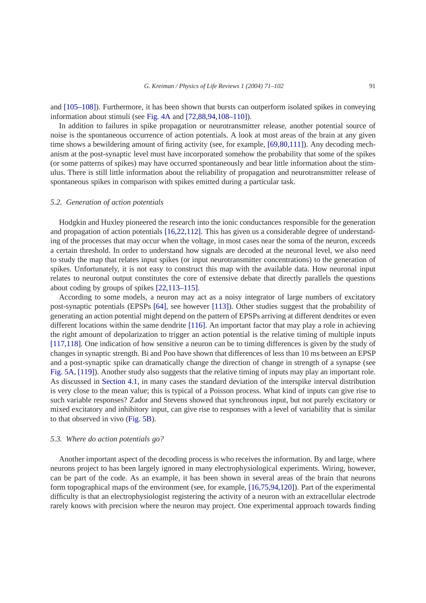<span id="page-20-0"></span>and [\[105–108\]\)](#page-30-0). Furthermore, it has been shown that bursts can outperform isolated spikes in conveying information about stimuli (see [Fig. 4A](#page-18-0) and [\[72,88,94,108–110\]\)](#page-29-0).

In addition to failures in spike propagation or neurotransmitter release, another potential source of noise is the spontaneous occurrence of action potentials. A look at most areas of the brain at any given time shows a bewildering amount of firing activity (see, for example, [\[69,80,111\]\)](#page-29-0). Any decoding mechanism at the post-synaptic level must have incorporated somehow the probability that some of the spikes (or some patterns of spikes) may have occurred spontaneously and bear little information about the stimulus. There is still little information about the reliability of propagation and neurotransmitter release of spontaneous spikes in comparison with spikes emitted during a particular task.

#### *5.2. Generation of action potentials*

Hodgkin and Huxley pioneered the research into the ionic conductances responsible for the generation and propagation of action potentials [\[16,22,112\].](#page-27-0) This has given us a considerable degree of understanding of the processes that may occur when the voltage, in most cases near the soma of the neuron, exceeds a certain threshold. In order to understand how signals are decoded at the neuronal level, we also need to study the map that relates input spikes (or input neurotransmitter concentrations) to the generation of spikes. Unfortunately, it is not easy to construct this map with the available data. How neuronal input relates to neuronal output constitutes the core of extensive debate that directly parallels the questions about coding by groups of spikes [\[22,113–115\].](#page-27-0)

According to some models, a neuron may act as a noisy integrator of large numbers of excitatory post-synaptic potentials (EPSPs [\[64\],](#page-28-0) see however [\[113\]\)](#page-30-0). Other studies suggest that the probability of generating an action potential might depend on the pattern of EPSPs arriving at different dendrites or even different locations within the same dendrite [\[116\].](#page-30-0) An important factor that may play a role in achieving the right amount of depolarization to trigger an action potential is the relative timing of multiple inputs [\[117,118\].](#page-30-0) One indication of how sensitive a neuron can be to timing differences is given by the study of changes in synaptic strength. Bi and Poo have shown that differences of less than 10 ms between an EPSP and a post-synaptic spike can dramatically change the direction of change in strength of a synapse (see [Fig. 5A,](#page-21-0) [\[119\]\)](#page-30-0). Another study also suggests that the relative timing of inputs may play an important role. As discussed in [Section 4.1,](#page-10-0) in many cases the standard deviation of the interspike interval distribution is very close to the mean value; this is typical of a Poisson process. What kind of inputs can give rise to such variable responses? Zador and Stevens showed that synchronous input, but not purely excitatory or mixed excitatory and inhibitory input, can give rise to responses with a level of variability that is similar to that observed in vivo [\(Fig. 5B\)](#page-21-0).

## *5.3. Where do action potentials go?*

Another important aspect of the decoding process is who receives the information. By and large, where neurons project to has been largely ignored in many electrophysiological experiments. Wiring, however, can be part of the code. As an example, it has been shown in several areas of the brain that neurons form topographical maps of the environment (see, for example, [\[16,75,94,120\]\)](#page-27-0). Part of the experimental difficulty is that an electrophysiologist registering the activity of a neuron with an extracellular electrode rarely knows with precision where the neuron may project. One experimental approach towards finding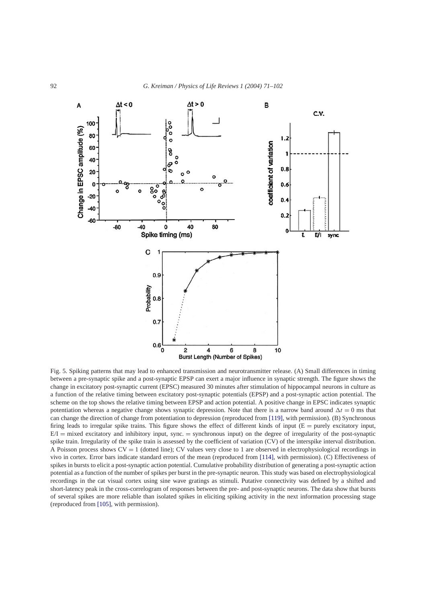<span id="page-21-0"></span>

Fig. 5. Spiking patterns that may lead to enhanced transmission and neurotransmitter release. (A) Small differences in timing between a pre-synaptic spike and a post-synaptic EPSP can exert a major influence in synaptic strength. The figure shows the change in excitatory post-synaptic current (EPSC) measured 30 minutes after stimulation of hippocampal neurons in culture as a function of the relative timing between excitatory post-synaptic potentials (EPSP) and a post-synaptic action potential. The scheme on the top shows the relative timing between EPSP and action potential. A positive change in EPSC indicates synaptic potentiation whereas a negative change shows synaptic depression. Note that there is a narrow band around  $\Delta t = 0$  ms that can change the direction of change from potentiation to depression (reproduced from [\[119\],](#page-30-0) with permission). (B) Synchronous firing leads to irregular spike trains. This figure shows the effect of different kinds of input  $(E =$  purely excitatory input,  $E/I$  = mixed excitatory and inhibitory input, sync. = synchronous input) on the degree of irregularity of the post-synaptic spike train. Irregularity of the spike train is assessed by the coefficient of variation (CV) of the interspike interval distribution. A Poisson process shows  $CV = 1$  (dotted line); CV values very close to 1 are observed in electrophysiological recordings in vivo in cortex. Error bars indicate standard errors of the mean (reproduced from [\[114\],](#page-30-0) with permission). (C) Effectiveness of spikes in bursts to elicit a post-synaptic action potential. Cumulative probability distribution of generating a post-synaptic action potential as a function of the number of spikes per burst in the pre-synaptic neuron. This study was based on electrophysiological recordings in the cat visual cortex using sine wave gratings as stimuli. Putative connectivity was defined by a shifted and short-latency peak in the cross-correlogram of responses between the pre- and post-synaptic neurons. The data show that bursts of several spikes are more reliable than isolated spikes in eliciting spiking activity in the next information processing stage (reproduced from [\[105\],](#page-30-0) with permission).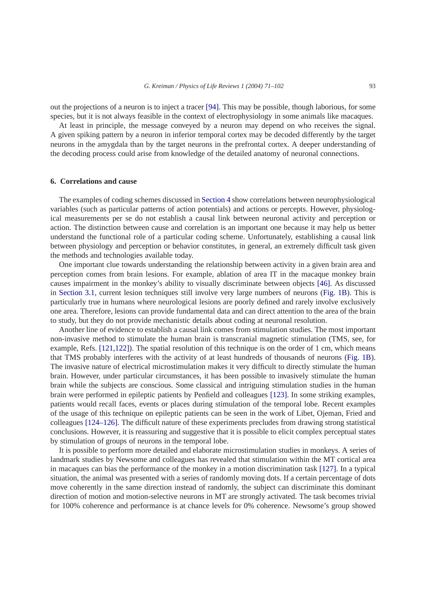<span id="page-22-0"></span>out the projections of a neuron is to inject a tracer [\[94\].](#page-29-0) This may be possible, though laborious, for some species, but it is not always feasible in the context of electrophysiology in some animals like macaques.

At least in principle, the message conveyed by a neuron may depend on who receives the signal. A given spiking pattern by a neuron in inferior temporal cortex may be decoded differently by the target neurons in the amygdala than by the target neurons in the prefrontal cortex. A deeper understanding of the decoding process could arise from knowledge of the detailed anatomy of neuronal connections.

#### **6. Correlations and cause**

The examples of coding schemes discussed in [Section 4](#page-10-0) show correlations between neurophysiological variables (such as particular patterns of action potentials) and actions or percepts. However, physiological measurements per se do not establish a causal link between neuronal activity and perception or action. The distinction between cause and correlation is an important one because it may help us better understand the functional role of a particular coding scheme. Unfortunately, establishing a causal link between physiology and perception or behavior constitutes, in general, an extremely difficult task given the methods and technologies available today.

One important clue towards understanding the relationship between activity in a given brain area and perception comes from brain lesions. For example, ablation of area IT in the macaque monkey brain causes impairment in the monkey's ability to visually discriminate between objects [\[46\].](#page-28-0) As discussed in [Section 3.1,](#page-5-0) current lesion techniques still involve very large numbers of neurons [\(Fig. 1B\)](#page-6-0). This is particularly true in humans where neurological lesions are poorly defined and rarely involve exclusively one area. Therefore, lesions can provide fundamental data and can direct attention to the area of the brain to study, but they do not provide mechanistic details about coding at neuronal resolution.

Another line of evidence to establish a causal link comes from stimulation studies. The most important non-invasive method to stimulate the human brain is transcranial magnetic stimulation (TMS, see, for example, Refs. [\[121,122\]\)](#page-30-0). The spatial resolution of this technique is on the order of 1 cm, which means that TMS probably interferes with the activity of at least hundreds of thousands of neurons [\(Fig. 1B\)](#page-6-0). The invasive nature of electrical microstimulation makes it very difficult to directly stimulate the human brain. However, under particular circumstances, it has been possible to invasively stimulate the human brain while the subjects are conscious. Some classical and intriguing stimulation studies in the human brain were performed in epileptic patients by Penfield and colleagues [\[123\].](#page-30-0) In some striking examples, patients would recall faces, events or places during stimulation of the temporal lobe. Recent examples of the usage of this technique on epileptic patients can be seen in the work of Libet, Ojeman, Fried and colleagues [\[124–126\].](#page-30-0) The difficult nature of these experiments precludes from drawing strong statistical conclusions. However, it is reassuring and suggestive that it is possible to elicit complex perceptual states by stimulation of groups of neurons in the temporal lobe.

It is possible to perform more detailed and elaborate microstimulation studies in monkeys. A series of landmark studies by Newsome and colleagues has revealed that stimulation within the MT cortical area in macaques can bias the performance of the monkey in a motion discrimination task [\[127\].](#page-30-0) In a typical situation, the animal was presented with a series of randomly moving dots. If a certain percentage of dots move coherently in the same direction instead of randomly, the subject can discriminate this dominant direction of motion and motion-selective neurons in MT are strongly activated. The task becomes trivial for 100% coherence and performance is at chance levels for 0% coherence. Newsome's group showed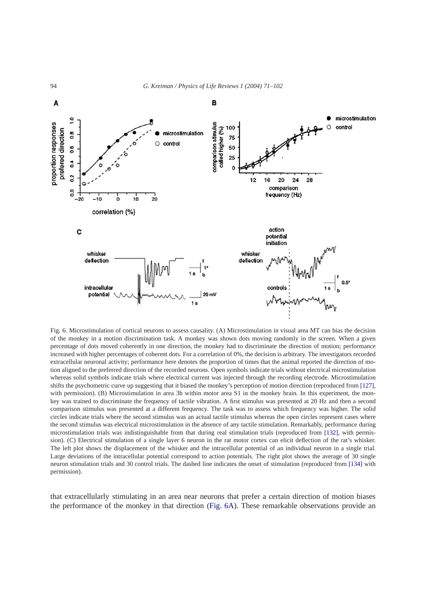<span id="page-23-0"></span>

Fig. 6. Microstimulation of cortical neurons to assess causality. (A) Microstimulation in visual area MT can bias the decision of the monkey in a motion discrimination task. A monkey was shown dots moving randomly in the screen. When a given percentage of dots moved coherently in one direction, the monkey had to discriminate the direction of motion; performance increased with higher percentages of coherent dots. For a correlation of 0%, the decision is arbitrary. The investigators recorded extracellular neuronal activity; performance here denotes the proportion of times that the animal reported the direction of motion aligned to the preferred direction of the recorded neurons. Open symbols indicate trials without electrical microstimulation whereas solid symbols indicate trials where electrical current was injected through the recording electrode. Microstimulation shifts the psychometric curve up suggesting that it biased the monkey's perception of motion direction (reproduced from [\[127\],](#page-30-0) with permission). (B) Microstimulation in area 3b within motor area S1 in the monkey brain. In this experiment, the monkey was trained to discriminate the frequency of tactile vibration. A first stimulus was presented at 20 Hz and then a second comparison stimulus was presented at a different frequency. The task was to assess which frequency was higher. The solid circles indicate trials where the second stimulus was an actual tactile stimulus whereas the open circles represent cases where the second stimulus was electrical microstimulation in the absence of any tactile stimulation. Remarkably, performance during microstimulation trials was indistinguishable from that during real stimulation trials (reproduced from [\[132\],](#page-31-0) with permission). (C) Electrical stimulation of a single layer 6 neuron in the rat motor cortex can elicit deflection of the rat's whisker. The left plot shows the displacement of the whisker and the intracellular potential of an individual neuron in a single trial. Large deviations of the intracellular potential correspond to action potentials. The right plot shows the average of 30 single neuron stimulation trials and 30 control trials. The dashed line indicates the onset of stimulation (reproduced from [\[134\]](#page-31-0) with permission).

that extracellularly stimulating in an area near neurons that prefer a certain direction of motion biases the performance of the monkey in that direction (Fig. 6A). These remarkable observations provide an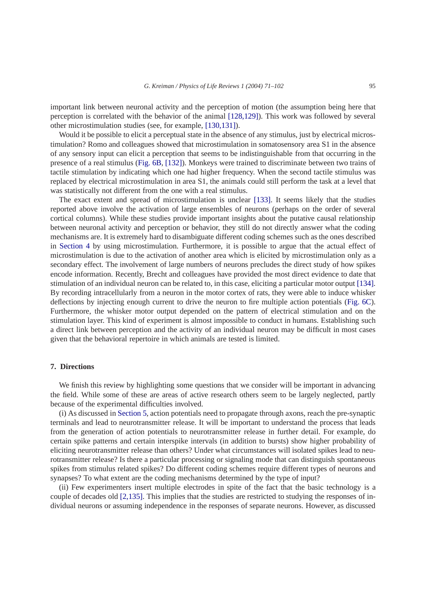<span id="page-24-0"></span>important link between neuronal activity and the perception of motion (the assumption being here that perception is correlated with the behavior of the animal [\[128,129\]\)](#page-30-0). This work was followed by several other microstimulation studies (see, for example, [\[130,131\]\)](#page-31-0).

Would it be possible to elicit a perceptual state in the absence of any stimulus, just by electrical microstimulation? Romo and colleagues showed that microstimulation in somatosensory area S1 in the absence of any sensory input can elicit a perception that seems to be indistinguishable from that occurring in the presence of a real stimulus [\(Fig. 6B,](#page-23-0) [\[132\]\)](#page-31-0). Monkeys were trained to discriminate between two trains of tactile stimulation by indicating which one had higher frequency. When the second tactile stimulus was replaced by electrical microstimulation in area S1, the animals could still perform the task at a level that was statistically not different from the one with a real stimulus.

The exact extent and spread of microstimulation is unclear [\[133\].](#page-31-0) It seems likely that the studies reported above involve the activation of large ensembles of neurons (perhaps on the order of several cortical columns). While these studies provide important insights about the putative causal relationship between neuronal activity and perception or behavior, they still do not directly answer what the coding mechanisms are. It is extremely hard to disambiguate different coding schemes such as the ones described in [Section 4](#page-10-0) by using microstimulation. Furthermore, it is possible to argue that the actual effect of microstimulation is due to the activation of another area which is elicited by microstimulation only as a secondary effect. The involvement of large numbers of neurons precludes the direct study of how spikes encode information. Recently, Brecht and colleagues have provided the most direct evidence to date that stimulation of an individual neuron can be related to, in this case, eliciting a particular motor output [\[134\].](#page-31-0) By recording intracellularly from a neuron in the motor cortex of rats, they were able to induce whisker deflections by injecting enough current to drive the neuron to fire multiple action potentials [\(Fig. 6C\)](#page-23-0). Furthermore, the whisker motor output depended on the pattern of electrical stimulation and on the stimulation layer. This kind of experiment is almost impossible to conduct in humans. Establishing such a direct link between perception and the activity of an individual neuron may be difficult in most cases given that the behavioral repertoire in which animals are tested is limited.

# **7. Directions**

We finish this review by highlighting some questions that we consider will be important in advancing the field. While some of these are areas of active research others seem to be largely neglected, partly because of the experimental difficulties involved.

(i) As discussed in [Section 5,](#page-19-0) action potentials need to propagate through axons, reach the pre-synaptic terminals and lead to neurotransmitter release. It will be important to understand the process that leads from the generation of action potentials to neurotransmitter release in further detail. For example, do certain spike patterns and certain interspike intervals (in addition to bursts) show higher probability of eliciting neurotransmitter release than others? Under what circumstances will isolated spikes lead to neurotransmitter release? Is there a particular processing or signaling mode that can distinguish spontaneous spikes from stimulus related spikes? Do different coding schemes require different types of neurons and synapses? To what extent are the coding mechanisms determined by the type of input?

(ii) Few experimenters insert multiple electrodes in spite of the fact that the basic technology is a couple of decades old [\[2,135\].](#page-27-0) This implies that the studies are restricted to studying the responses of individual neurons or assuming independence in the responses of separate neurons. However, as discussed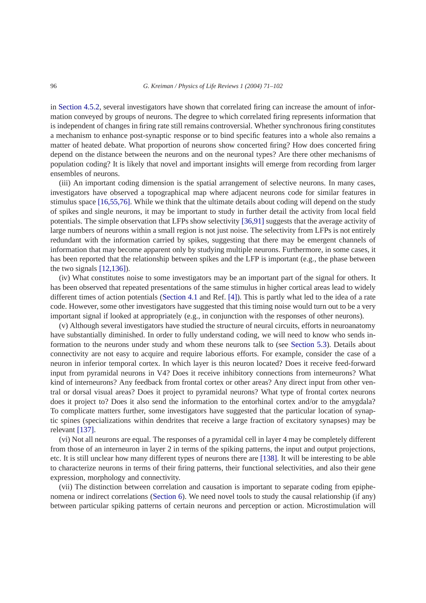in [Section 4.5.2,](#page-17-0) several investigators have shown that correlated firing can increase the amount of information conveyed by groups of neurons. The degree to which correlated firing represents information that is independent of changes in firing rate still remains controversial. Whether synchronous firing constitutes a mechanism to enhance post-synaptic response or to bind specific features into a whole also remains a matter of heated debate. What proportion of neurons show concerted firing? How does concerted firing depend on the distance between the neurons and on the neuronal types? Are there other mechanisms of population coding? It is likely that novel and important insights will emerge from recording from larger ensembles of neurons.

(iii) An important coding dimension is the spatial arrangement of selective neurons. In many cases, investigators have observed a topographical map where adjacent neurons code for similar features in stimulus space [\[16,55,76\].](#page-27-0) While we think that the ultimate details about coding will depend on the study of spikes and single neurons, it may be important to study in further detail the activity from local field potentials. The simple observation that LFPs show selectivity [\[36,91\]](#page-27-0) suggests that the average activity of large numbers of neurons within a small region is not just noise. The selectivity from LFPs is not entirely redundant with the information carried by spikes, suggesting that there may be emergent channels of information that may become apparent only by studying multiple neurons. Furthermore, in some cases, it has been reported that the relationship between spikes and the LFP is important (e.g., the phase between the two signals [\[12,136\]\)](#page-27-0).

(iv) What constitutes noise to some investigators may be an important part of the signal for others. It has been observed that repeated presentations of the same stimulus in higher cortical areas lead to widely different times of action potentials [\(Section 4.1](#page-10-0) and Ref. [\[4\]\)](#page-27-0). This is partly what led to the idea of a rate code. However, some other investigators have suggested that this timing noise would turn out to be a very important signal if looked at appropriately (e.g., in conjunction with the responses of other neurons).

(v) Although several investigators have studied the structure of neural circuits, efforts in neuroanatomy have substantially diminished. In order to fully understand coding, we will need to know who sends information to the neurons under study and whom these neurons talk to (see [Section 5.3\)](#page-20-0). Details about connectivity are not easy to acquire and require laborious efforts. For example, consider the case of a neuron in inferior temporal cortex. In which layer is this neuron located? Does it receive feed-forward input from pyramidal neurons in V4? Does it receive inhibitory connections from interneurons? What kind of interneurons? Any feedback from frontal cortex or other areas? Any direct input from other ventral or dorsal visual areas? Does it project to pyramidal neurons? What type of frontal cortex neurons does it project to? Does it also send the information to the entorhinal cortex and/or to the amygdala? To complicate matters further, some investigators have suggested that the particular location of synaptic spines (specializations within dendrites that receive a large fraction of excitatory synapses) may be relevant [\[137\].](#page-31-0)

(vi) Not all neurons are equal. The responses of a pyramidal cell in layer 4 may be completely different from those of an interneuron in layer 2 in terms of the spiking patterns, the input and output projections, etc. It is still unclear how many different types of neurons there are [\[138\].](#page-31-0) It will be interesting to be able to characterize neurons in terms of their firing patterns, their functional selectivities, and also their gene expression, morphology and connectivity.

(vii) The distinction between correlation and causation is important to separate coding from epiphenomena or indirect correlations [\(Section 6\)](#page-22-0). We need novel tools to study the causal relationship (if any) between particular spiking patterns of certain neurons and perception or action. Microstimulation will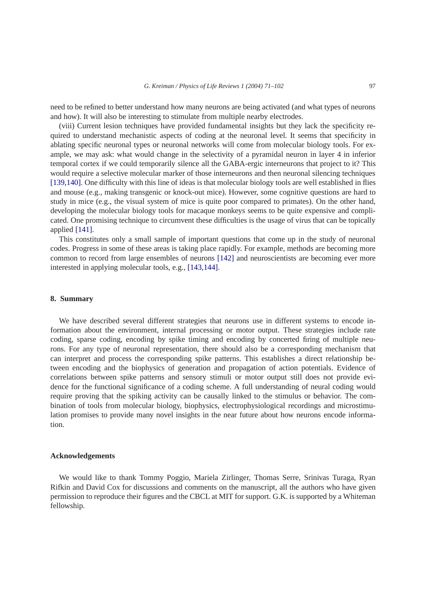need to be refined to better understand how many neurons are being activated (and what types of neurons and how). It will also be interesting to stimulate from multiple nearby electrodes.

(viii) Current lesion techniques have provided fundamental insights but they lack the specificity required to understand mechanistic aspects of coding at the neuronal level. It seems that specificity in ablating specific neuronal types or neuronal networks will come from molecular biology tools. For example, we may ask: what would change in the selectivity of a pyramidal neuron in layer 4 in inferior temporal cortex if we could temporarily silence all the GABA-ergic interneurons that project to it? This would require a selective molecular marker of those interneurons and then neuronal silencing techniques [\[139,140\].](#page-31-0) One difficulty with this line of ideas is that molecular biology tools are well established in flies and mouse (e.g., making transgenic or knock-out mice). However, some cognitive questions are hard to study in mice (e.g., the visual system of mice is quite poor compared to primates). On the other hand, developing the molecular biology tools for macaque monkeys seems to be quite expensive and complicated. One promising technique to circumvent these difficulties is the usage of virus that can be topically applied [\[141\].](#page-31-0)

This constitutes only a small sample of important questions that come up in the study of neuronal codes. Progress in some of these areas is taking place rapidly. For example, methods are becoming more common to record from large ensembles of neurons [\[142\]](#page-31-0) and neuroscientists are becoming ever more interested in applying molecular tools, e.g., [\[143,144\].](#page-31-0)

# **8. Summary**

We have described several different strategies that neurons use in different systems to encode information about the environment, internal processing or motor output. These strategies include rate coding, sparse coding, encoding by spike timing and encoding by concerted firing of multiple neurons. For any type of neuronal representation, there should also be a corresponding mechanism that can interpret and process the corresponding spike patterns. This establishes a direct relationship between encoding and the biophysics of generation and propagation of action potentials. Evidence of correlations between spike patterns and sensory stimuli or motor output still does not provide evidence for the functional significance of a coding scheme. A full understanding of neural coding would require proving that the spiking activity can be causally linked to the stimulus or behavior. The combination of tools from molecular biology, biophysics, electrophysiological recordings and microstimulation promises to provide many novel insights in the near future about how neurons encode information.

# **Acknowledgements**

We would like to thank Tommy Poggio, Mariela Zirlinger, Thomas Serre, Srinivas Turaga, Ryan Rifkin and David Cox for discussions and comments on the manuscript, all the authors who have given permission to reproduce their figures and the CBCL at MIT for support. G.K. is supported by a Whiteman fellowship.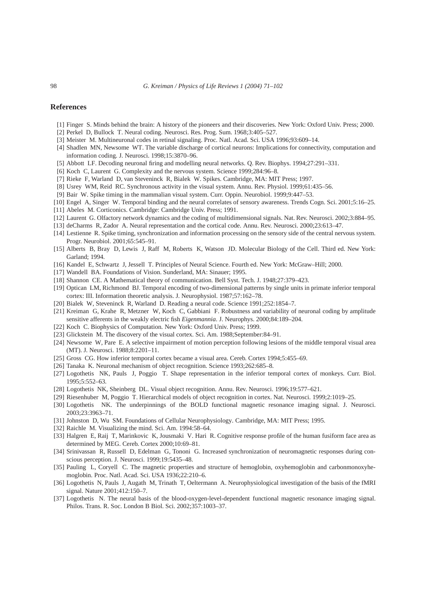## <span id="page-27-0"></span>**References**

- [1] Finger S. Minds behind the brain: A history of the pioneers and their discoveries. New York: Oxford Univ. Press; 2000.
- [2] Perkel D, Bullock T. Neural coding. Neurosci. Res. Prog. Sum. 1968;3:405–527.
- [3] Meister M. Multineuronal codes in retinal signaling. Proc. Natl. Acad. Sci. USA 1996;93:609–14.
- [4] Shadlen MN, Newsome WT. The variable discharge of cortical neurons: Implications for connectivity, computation and information coding. J. Neurosci. 1998;15:3870–96.
- [5] Abbott LF. Decoding neuronal firing and modelling neural networks. Q. Rev. Biophys. 1994;27:291–331.
- [6] Koch C, Laurent G. Complexity and the nervous system. Science 1999;284:96–8.
- [7] Rieke F, Warland D, van Steveninck R, Bialek W. Spikes. Cambridge, MA: MIT Press; 1997.
- [8] Usrey WM, Reid RC. Synchronous activity in the visual system. Annu. Rev. Physiol. 1999;61:435–56.
- [9] Bair W. Spike timing in the mammalian visual system. Curr. Oppin. Neurobiol. 1999;9:447–53.
- [10] Engel A, Singer W. Temporal binding and the neural correlates of sensory awareness. Trends Cogn. Sci. 2001;5:16–25.
- [11] Abeles M. Corticonics. Cambridge: Cambridge Univ. Press; 1991.
- [12] Laurent G. Olfactory network dynamics and the coding of multidimensional signals. Nat. Rev. Neurosci. 2002;3:884–95.
- [13] deCharms R, Zador A. Neural representation and the cortical code. Annu. Rev. Neurosci. 2000;23:613–47.
- [14] Lestienne R. Spike timing, synchronization and information processing on the sensory side of the central nervous system. Progr. Neurobiol. 2001;65:545–91.
- [15] Alberts B, Bray D, Lewis J, Raff M, Roberts K, Watson JD. Molecular Biology of the Cell. Third ed. New York: Garland; 1994.
- [16] Kandel E, Schwartz J, Jessell T. Principles of Neural Science. Fourth ed. New York: McGraw–Hill; 2000.
- [17] Wandell BA. Foundations of Vision. Sunderland, MA: Sinauer; 1995.
- [18] Shannon CE. A Mathematical theory of communication. Bell Syst. Tech. J. 1948;27:379–423.
- [19] Optican LM, Richmond BJ. Temporal encoding of two-dimensional patterns by single units in primate inferior temporal cortex: III. Information theoretic analysis. J. Neurophysiol. 1987;57:162–78.
- [20] Bialek W, Steveninck R, Warland D. Reading a neural code. Science 1991;252:1854–7.
- [21] Kreiman G, Krahe R, Metzner W, Koch C, Gabbiani F. Robustness and variability of neuronal coding by amplitude sensitive afferents in the weakly electric fish *Eigenmannia*. J. Neurophys. 2000;84:189–204.
- [22] Koch C. Biophysics of Computation. New York: Oxford Univ. Press; 1999.
- [23] Glickstein M. The discovery of the visual cortex. Sci. Am. 1988;September:84-91.
- [24] Newsome W, Pare E. A selective impairment of motion perception following lesions of the middle temporal visual area (MT). J. Neurosci. 1988;8:2201–11.
- [25] Gross CG. How inferior temporal cortex became a visual area. Cereb. Cortex 1994;5:455–69.
- [26] Tanaka K. Neuronal mechanism of object recognition. Science 1993;262:685–8.
- [27] Logothetis NK, Pauls J, Poggio T. Shape representation in the inferior temporal cortex of monkeys. Curr. Biol. 1995;5:552–63.
- [28] Logothetis NK, Sheinberg DL. Visual object recognition. Annu. Rev. Neurosci. 1996;19:577–621.
- [29] Riesenhuber M, Poggio T. Hierarchical models of object recognition in cortex. Nat. Neurosci. 1999;2:1019–25.
- [30] Logothetis NK. The underpinnings of the BOLD functional magnetic resonance imaging signal. J. Neurosci. 2003;23:3963–71.
- [31] Johnston D, Wu SM. Foundations of Cellular Neurophysiology. Cambridge, MA: MIT Press; 1995.
- [32] Raichle M. Visualizing the mind. Sci. Am. 1994:58-64.
- [33] Halgren E, Raij T, Marinkovic K, Jousmaki V. Hari R. Cognitive response profile of the human fusiform face area as determined by MEG. Cereb. Cortex 2000;10:69–81.
- [34] Srinivassan R, Russell D, Edelman G, Tononi G. Increased synchronization of neuromagnetic responses during conscious perception. J. Neurosci. 1999;19:5435–48.
- [35] Pauling L, Coryell C. The magnetic properties and structure of hemoglobin, oxyhemoglobin and carbonmonoxyhemoglobin. Proc. Natl. Acad. Sci. USA 1936;22:210–6.
- [36] Logothetis N, Pauls J, Augath M, Trinath T, Oeltermann A. Neurophysiological investigation of the basis of the fMRI signal. Nature 2001;412:150–7.
- [37] Logothetis N. The neural basis of the blood-oxygen-level-dependent functional magnetic resonance imaging signal. Philos. Trans. R. Soc. London B Biol. Sci. 2002;357:1003–37.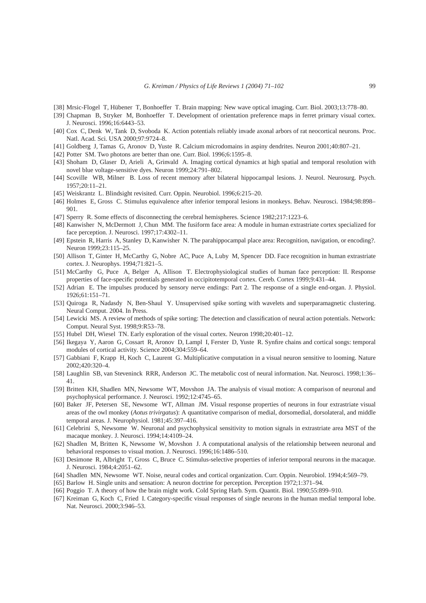- <span id="page-28-0"></span>[38] Mrsic-Flogel T, Hübener T, Bonhoeffer T. Brain mapping: New wave optical imaging. Curr. Biol. 2003;13:778–80.
- [39] Chapman B, Stryker M, Bonhoeffer T. Development of orientation preference maps in ferret primary visual cortex. J. Neurosci. 1996;16:6443–53.
- [40] Cox C, Denk W, Tank D, Svoboda K. Action potentials reliably invade axonal arbors of rat neocortical neurons. Proc. Natl. Acad. Sci. USA 2000;97:9724–8.
- [41] Goldberg J, Tamas G, Aronov D, Yuste R. Calcium microdomains in aspiny dendrites. Neuron 2001;40:807–21.
- [42] Potter SM. Two photons are better than one. Curr. Biol. 1996;6:1595–8.
- [43] Shoham D, Glaser D, Arieli A, Grinvald A. Imaging cortical dynamics at high spatial and temporal resolution with novel blue voltage-sensitive dyes. Neuron 1999;24:791–802.
- [44] Scoville WB, Milner B. Loss of recent memory after bilateral hippocampal lesions. J. Neurol. Neurosurg. Psych. 1957;20:11–21.
- [45] Weiskrantz L. Blindsight revisited. Curr. Oppin. Neurobiol. 1996;6:215–20.
- [46] Holmes E, Gross C. Stimulus equivalence after inferior temporal lesions in monkeys. Behav. Neurosci. 1984;98:898– 901.
- [47] Sperry R. Some effects of disconnecting the cerebral hemispheres. Science 1982;217:1223–6.
- [48] Kanwisher N, McDermott J, Chun MM. The fusiform face area: A module in human extrastriate cortex specialized for face perception. J. Neurosci. 1997;17:4302–11.
- [49] Epstein R, Harris A, Stanley D, Kanwisher N. The parahippocampal place area: Recognition, navigation, or encoding?. Neuron 1999;23:115–25.
- [50] Allison T, Ginter H, McCarthy G, Nobre AC, Puce A, Luby M, Spencer DD. Face recognition in human extrastriate cortex. J. Neurophys. 1994;71:821–5.
- [51] McCarthy G, Puce A, Belger A, Allison T. Electrophysiological studies of human face perception: II. Response properties of face-specific potentials generated in occipitotemporal cortex. Cereb. Cortex 1999;9:431–44.
- [52] Adrian E. The impulses produced by sensory nerve endings: Part 2. The response of a single end-organ. J. Physiol. 1926;61:151–71.
- [53] Quiroga R, Nadasdy N, Ben-Shaul Y. Unsupervised spike sorting with wavelets and superparamagnetic clustering. Neural Comput. 2004. In Press.
- [54] Lewicki MS. A review of methods of spike sorting: The detection and classification of neural action potentials. Network: Comput. Neural Syst. 1998;9:R53–78.
- [55] Hubel DH, Wiesel TN. Early exploration of the visual cortex. Neuron 1998;20:401–12.
- [56] Ikegaya Y, Aaron G, Cossart R, Aronov D, Lampl I, Ferster D, Yuste R. Synfire chains and cortical songs: temporal modules of cortical activity. Science 2004;304:559–64.
- [57] Gabbiani F, Krapp H, Koch C, Laurent G. Multiplicative computation in a visual neuron sensitive to looming. Nature 2002;420:320–4.
- [58] Laughlin SB, van Steveninck RRR, Anderson JC. The metabolic cost of neural information. Nat. Neurosci. 1998;1:36– 41.
- [59] Britten KH, Shadlen MN, Newsome WT, Movshon JA. The analysis of visual motion: A comparison of neuronal and psychophysical performance. J. Neurosci. 1992;12:4745–65.
- [60] Baker JF, Petersen SE, Newsome WT, Allman JM. Visual response properties of neurons in four extrastriate visual areas of the owl monkey (*Aotus trivirgatus*): A quantitative comparison of medial, dorsomedial, dorsolateral, and middle temporal areas. J. Neurophysiol. 1981;45:397–416.
- [61] Celebrini S, Newsome W. Neuronal and psychophysical sensitivity to motion signals in extrastriate area MST of the macaque monkey. J. Neurosci. 1994;14:4109–24.
- [62] Shadlen M, Britten K, Newsome W, Movshon J. A computational analysis of the relationship between neuronal and behavioral responses to visual motion. J. Neurosci. 1996;16:1486–510.
- [63] Desimone R, Albright T, Gross C, Bruce C. Stimulus-selective properties of inferior temporal neurons in the macaque. J. Neurosci. 1984;4:2051–62.
- [64] Shadlen MN, Newsome WT. Noise, neural codes and cortical organization. Curr. Oppin. Neurobiol. 1994;4:569–79.
- [65] Barlow H. Single units and sensation: A neuron doctrine for perception. Perception 1972;1:371–94.
- [66] Poggio T. A theory of how the brain might work. Cold Spring Harb. Sym. Quantit. Biol. 1990;55:899–910.
- [67] Kreiman G, Koch C, Fried I. Category-specific visual responses of single neurons in the human medial temporal lobe. Nat. Neurosci. 2000;3:946–53.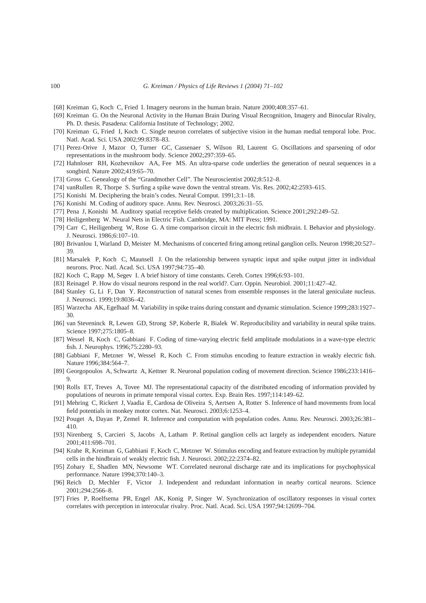- <span id="page-29-0"></span>[68] Kreiman G, Koch C, Fried I. Imagery neurons in the human brain. Nature 2000;408:357–61.
- [69] Kreiman G. On the Neuronal Activity in the Human Brain During Visual Recognition, Imagery and Binocular Rivalry, Ph. D. thesis. Pasadena: California Institute of Technology; 2002.
- [70] Kreiman G, Fried I, Koch C. Single neuron correlates of subjective vision in the human medial temporal lobe. Proc. Natl. Acad. Sci. USA 2002;99:8378–83.
- [71] Perez-Orive J, Mazor O, Turner GC, Cassenaer S, Wilson RI, Laurent G. Oscillations and sparsening of odor representations in the mushroom body. Science 2002;297:359–65.
- [72] Hahnloser RH, Kozhevnikov AA, Fee MS. An ultra-sparse code underlies the generation of neural sequences in a songbird. Nature 2002;419:65–70.
- [73] Gross C. Genealogy of the "Grandmother Cell". The Neuroscientist 2002;8:512–8.
- [74] vanRullen R, Thorpe S. Surfing a spike wave down the ventral stream. Vis. Res. 2002;42:2593–615.
- [75] Konishi M. Deciphering the brain's codes. Neural Comput. 1991;3:1–18.
- [76] Konishi M. Coding of auditory space. Annu. Rev. Neurosci. 2003;26:31–55.
- [77] Pena J, Konishi M. Auditory spatial receptive fields created by multiplication. Science 2001;292:249–52.
- [78] Heiligenberg W. Neural Nets in Electric Fish. Cambridge, MA: MIT Press; 1991.
- [79] Carr C, Heiligenberg W, Rose G. A time comparison circuit in the electric fish midbrain. I. Behavior and physiology. J. Neurosci. 1986;6:107–10.
- [80] Brivanlou I, Warland D, Meister M. Mechanisms of concerted firing among retinal ganglion cells. Neuron 1998;20:527– 39.
- [81] Marsalek P, Koch C, Maunsell J. On the relationship between synaptic input and spike output jitter in individual neurons. Proc. Natl. Acad. Sci. USA 1997;94:735–40.
- [82] Koch C, Rapp M, Segev I. A brief history of time constants. Cereb. Cortex 1996;6:93–101.
- [83] Reinagel P. How do visual neurons respond in the real world?. Curr. Oppin. Neurobiol. 2001;11:427–42.
- [84] Stanley G, Li F, Dan Y. Reconstruction of natural scenes from ensemble responses in the lateral geniculate nucleus. J. Neurosci. 1999;19:8036–42.
- [85] Warzecha AK, Egelhaaf M. Variability in spike trains during constant and dynamic stimulation. Science 1999;283:1927– 30.
- [86] van Steveninck R, Lewen GD, Strong SP, Koberle R, Bialek W. Reproducibility and variability in neural spike trains. Science 1997;275:1805–8.
- [87] Wessel R, Koch C, Gabbiani F. Coding of time-varying electric field amplitude modulations in a wave-type electric fish. J. Neurophys. 1996;75:2280–93.
- [88] Gabbiani F, Metzner W, Wessel R, Koch C. From stimulus encoding to feature extraction in weakly electric fish. Nature 1996;384:564–7.
- [89] Georgopoulos A, Schwartz A, Kettner R. Neuronal population coding of movement direction. Science 1986;233:1416– 9.
- [90] Rolls ET, Treves A, Tovee MJ. The representational capacity of the distributed encoding of information provided by populations of neurons in primate temporal visual cortex. Exp. Brain Res. 1997;114:149–62.
- [91] Mehring C, Rickert J, Vaadia E, Cardosa de Oliveira S, Aertsen A, Rotter S. Inference of hand movements from local field potentials in monkey motor cortex. Nat. Neurosci. 2003;6:1253–4.
- [92] Pouget A, Dayan P, Zemel R. Inference and computation with population codes. Annu. Rev. Neurosci. 2003;26:381– 410.
- [93] Nirenberg S, Carcieri S, Jacobs A, Latham P. Retinal ganglion cells act largely as independent encoders. Nature 2001;411:698–701.
- [94] Krahe R, Kreiman G, Gabbiani F, Koch C, Metzner W. Stimulus encoding and feature extraction by multiple pyramidal cells in the hindbrain of weakly electric fish. J. Neurosci. 2002;22:2374–82.
- [95] Zohary E, Shadlen MN, Newsome WT. Correlated neuronal discharge rate and its implications for psychophysical performance. Nature 1994;370:140–3.
- [96] Reich D, Mechler F, Victor J. Independent and redundant information in nearby cortical neurons. Science 2001;294:2566–8.
- [97] Fries P, Roelfsema PR, Engel AK, Konig P, Singer W. Synchronization of oscillatory responses in visual cortex correlates with perception in interocular rivalry. Proc. Natl. Acad. Sci. USA 1997;94:12699–704.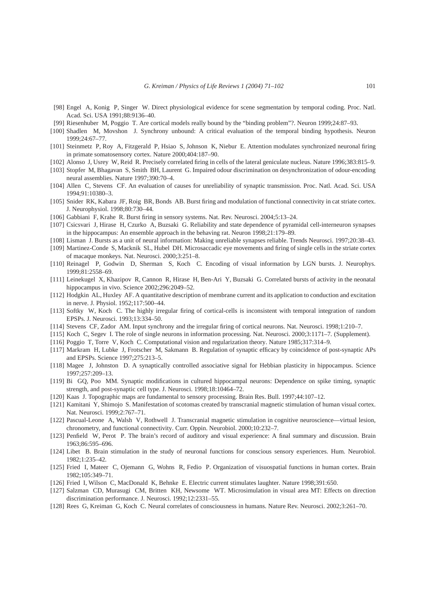- <span id="page-30-0"></span>[98] Engel A, Konig P, Singer W. Direct physiological evidence for scene segmentation by temporal coding. Proc. Natl. Acad. Sci. USA 1991;88:9136–40.
- [99] Riesenhuber M, Poggio T. Are cortical models really bound by the "binding problem"?. Neuron 1999;24:87–93.
- [100] Shadlen M, Movshon J. Synchrony unbound: A critical evaluation of the temporal binding hypothesis. Neuron 1999;24:67–77.
- [101] Steinmetz P, Roy A, Fitzgerald P, Hsiao S, Johnson K, Niebur E. Attention modulates synchronized neuronal firing in primate somatosensory cortex. Nature 2000;404:187–90.
- [102] Alonso J, Usrey W, Reid R. Precisely correlated firing in cells of the lateral geniculate nucleus. Nature 1996;383:815–9.
- [103] Stopfer M, Bhagavan S, Smith BH, Laurent G. Impaired odour discrimination on desynchronization of odour-encoding neural assemblies. Nature 1997;390:70–4.
- [104] Allen C, Stevens CF. An evaluation of causes for unreliability of synaptic transmission. Proc. Natl. Acad. Sci. USA 1994;91:10380–3.
- [105] Snider RK, Kabara JF, Roig BR, Bonds AB. Burst firing and modulation of functional connectivity in cat striate cortex. J. Neurophysiol. 1998;80:730–44.
- [106] Gabbiani F, Krahe R. Burst firing in sensory systems. Nat. Rev. Neurosci. 2004;5:13–24.
- [107] Csicsvari J, Hirase H, Czurko A, Buzsaki G. Reliability and state dependence of pyramidal cell-interneuron synapses in the hippocampus: An ensemble approach in the behaving rat. Neuron 1998;21:179–89.
- [108] Lisman J. Bursts as a unit of neural information: Making unreliable synapses reliable. Trends Neurosci. 1997;20:38–43.
- [109] Martinez-Conde S, Macknik SL, Hubel DH. Microsaccadic eye movements and firing of single cells in the striate cortex of macaque monkeys. Nat. Neurosci. 2000;3:251–8.
- [110] Reinagel P, Godwin D, Sherman S, Koch C. Encoding of visual information by LGN bursts. J. Neurophys. 1999;81:2558–69.
- [111] Leinekugel X, Khazipov R, Cannon R, Hirase H, Ben-Ari Y, Buzsaki G. Correlated bursts of activity in the neonatal hippocampus in vivo. Science 2002;296:2049–52.
- [112] Hodgkin AL, Huxley AF. A quantitative description of membrane current and its application to conduction and excitation in nerve. J. Physiol. 1952;117:500–44.
- [113] Softky W, Koch C. The highly irregular firing of cortical-cells is inconsistent with temporal integration of random EPSPs. J. Neurosci. 1993;13:334–50.
- [114] Stevens CF, Zador AM. Input synchrony and the irregular firing of cortical neurons. Nat. Neurosci. 1998;1:210–7.
- [115] Koch C, Segev I. The role of single neurons in information processing. Nat. Neurosci. 2000;3:1171–7. (Supplement).
- [116] Poggio T, Torre V, Koch C. Computational vision and regularization theory. Nature 1985;317:314–9.
- [117] Markram H, Lubke J, Frotscher M, Sakmann B. Regulation of synaptic efficacy by coincidence of post-synaptic APs and EPSPs. Science 1997;275:213–5.
- [118] Magee J, Johnston D. A synaptically controlled associative signal for Hebbian plasticity in hippocampus. Science 1997;257:209–13.
- [119] Bi GQ, Poo MM. Synaptic modifications in cultured hippocampal neurons: Dependence on spike timing, synaptic strength, and post-synaptic cell type. J. Neurosci. 1998;18:10464–72.
- [120] Kaas J. Topographic maps are fundamental to sensory processing. Brain Res. Bull. 1997;44:107–12.
- [121] Kamitani Y, Shimojo S. Manifestation of scotomas created by transcranial magnetic stimulation of human visual cortex. Nat. Neurosci. 1999;2:767–71.
- [122] Pascual-Leone A, Walsh V, Rothwell J. Transcranial magnetic stimulation in cognitive neuroscience—virtual lesion, chronometry, and functional connectivity. Curr. Oppin. Neurobiol. 2000;10:232–7.
- [123] Penfield W, Perot P. The brain's record of auditory and visual experience: A final summary and discussion. Brain 1963;86:595–696.
- [124] Libet B. Brain stimulation in the study of neuronal functions for conscious sensory experiences. Hum. Neurobiol. 1982;1:235–42.
- [125] Fried I, Mateer C, Ojemann G, Wohns R, Fedio P. Organization of visuospatial functions in human cortex. Brain 1982;105:349–71.
- [126] Fried I, Wilson C, MacDonald K, Behnke E. Electric current stimulates laughter. Nature 1998;391:650.
- [127] Salzman CD, Murasugi CM, Britten KH, Newsome WT. Microsimulation in visual area MT: Effects on direction discrimination performance. J. Neurosci. 1992;12:2331–55.
- [128] Rees G, Kreiman G, Koch C. Neural correlates of consciousness in humans. Nature Rev. Neurosci. 2002;3:261–70.